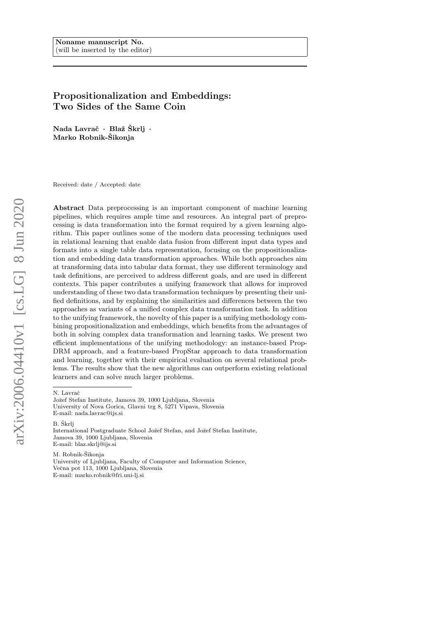# Propositionalization and Embeddings: Two Sides of the Same Coin

Nada Lavrač · Blaž Škrlj · Marko Robnik-Šikonja

Received: date / Accepted: date

Abstract Data preprocessing is an important component of machine learning pipelines, which requires ample time and resources. An integral part of preprocessing is data transformation into the format required by a given learning algorithm. This paper outlines some of the modern data processing techniques used in relational learning that enable data fusion from different input data types and formats into a single table data representation, focusing on the propositionalization and embedding data transformation approaches. While both approaches aim at transforming data into tabular data format, they use different terminology and task definitions, are perceived to address different goals, and are used in different contexts. This paper contributes a unifying framework that allows for improved understanding of these two data transformation techniques by presenting their unified definitions, and by explaining the similarities and differences between the two approaches as variants of a unified complex data transformation task. In addition to the unifying framework, the novelty of this paper is a unifying methodology combining propositionalization and embeddings, which benefits from the advantages of both in solving complex data transformation and learning tasks. We present two efficient implementations of the unifying methodology: an instance-based Prop-DRM approach, and a feature-based PropStar approach to data transformation and learning, together with their empirical evaluation on several relational problems. The results show that the new algorithms can outperform existing relational learners and can solve much larger problems.

B. Škrli

M. Robnik-Šikonja University of Ljubljana, Faculty of Computer and Information Science, Večna pot 113, 1000 Ljubljana, Slovenia E-mail: marko.robnik@fri.uni-lj.si

N. Lavrač

Jožef Stefan Institute, Jamova 39, 1000 Ljubljana, Slovenia University of Nova Gorica, Glavni trg 8, 5271 Vipava, Slovenia E-mail: nada.lavrac@ijs.si

International Postgraduate School Jožef Stefan, and Jožef Stefan Institute, Jamova 39, 1000 Ljubljana, Slovenia E-mail: blaz.skrlj@ijs.si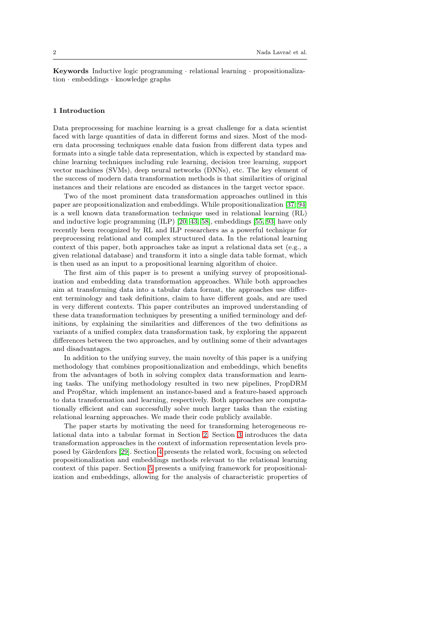Keywords Inductive logic programming · relational learning · propositionalization · embeddings · knowledge graphs

### 1 Introduction

Data preprocessing for machine learning is a great challenge for a data scientist faced with large quantities of data in different forms and sizes. Most of the modern data processing techniques enable data fusion from different data types and formats into a single table data representation, which is expected by standard machine learning techniques including rule learning, decision tree learning, support vector machines (SVMs), deep neural networks (DNNs), etc. The key element of the success of modern data transformation methods is that similarities of original instances and their relations are encoded as distances in the target vector space.

Two of the most prominent data transformation approaches outlined in this paper are propositionalization and embeddings. While propositionalization [\[37,](#page-37-0) [94\]](#page-40-0) is a well known data transformation technique used in relational learning (RL) and inductive logic programming (ILP) [\[20,](#page-36-0) [43,](#page-37-1) [58\]](#page-38-0), embeddings [\[55,](#page-38-1) [93\]](#page-40-1) have only recently been recognized by RL and ILP researchers as a powerful technique for preprocessing relational and complex structured data. In the relational learning context of this paper, both approaches take as input a relational data set (e.g., a given relational database) and transform it into a single data table format, which is then used as an input to a propositional learning algorithm of choice.

The first aim of this paper is to present a unifying survey of propositionalization and embedding data transformation approaches. While both approaches aim at transforming data into a tabular data format, the approaches use different terminology and task definitions, claim to have different goals, and are used in very different contexts. This paper contributes an improved understanding of these data transformation techniques by presenting a unified terminology and definitions, by explaining the similarities and differences of the two definitions as variants of a unified complex data transformation task, by exploring the apparent differences between the two approaches, and by outlining some of their advantages and disadvantages.

In addition to the unifying survey, the main novelty of this paper is a unifying methodology that combines propositionalization and embeddings, which benefits from the advantages of both in solving complex data transformation and learning tasks. The unifying methodology resulted in two new pipelines, PropDRM and PropStar, which implement an instance-based and a feature-based approach to data transformation and learning, respectively. Both approaches are computationally efficient and can successfully solve much larger tasks than the existing relational learning approaches. We made their code publicly available.

The paper starts by motivating the need for transforming heterogeneous relational data into a tabular format in Section [2.](#page-2-0) Section [3](#page-3-0) introduces the data transformation approaches in the context of information representation levels pro-posed by Gärdenfors [\[29\]](#page-36-1). Section [4](#page-5-0) presents the related work, focusing on selected propositionalization and embeddings methods relevant to the relational learning context of this paper. Section [5](#page-17-0) presents a unifying framework for propositionalization and embeddings, allowing for the analysis of characteristic properties of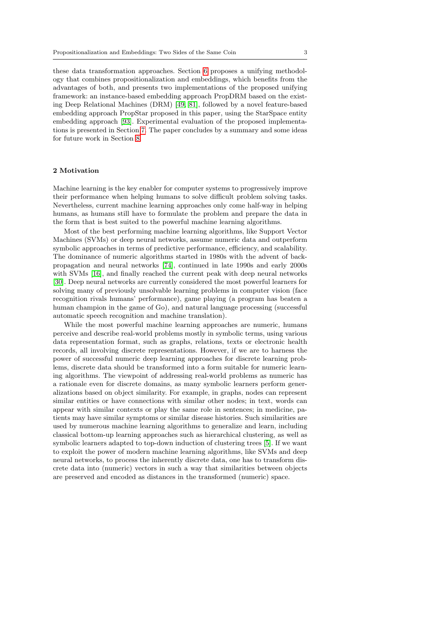these data transformation approaches. Section [6](#page-21-0) proposes a unifying methodology that combines propositionalization and embeddings, which benefits from the advantages of both, and presents two implementations of the proposed unifying framework: an instance-based embedding approach PropDRM based on the existing Deep Relational Machines (DRM) [\[49,](#page-37-2) [81\]](#page-39-0), followed by a novel feature-based embedding approach PropStar proposed in this paper, using the StarSpace entity embedding approach [\[93\]](#page-40-1). Experimental evaluation of the proposed implementations is presented in Section [7.](#page-28-0) The paper concludes by a summary and some ideas for future work in Section [8.](#page-33-0)

### <span id="page-2-0"></span>2 Motivation

Machine learning is the key enabler for computer systems to progressively improve their performance when helping humans to solve difficult problem solving tasks. Nevertheless, current machine learning approaches only come half-way in helping humans, as humans still have to formulate the problem and prepare the data in the form that is best suited to the powerful machine learning algorithms.

Most of the best performing machine learning algorithms, like Support Vector Machines (SVMs) or deep neural networks, assume numeric data and outperform symbolic approaches in terms of predictive performance, efficiency, and scalability. The dominance of numeric algorithms started in 1980s with the advent of backpropagation and neural networks [\[74\]](#page-39-1), continued in late 1990s and early 2000s with SVMs [\[16\]](#page-35-0), and finally reached the current peak with deep neural networks [\[30\]](#page-36-2). Deep neural networks are currently considered the most powerful learners for solving many of previously unsolvable learning problems in computer vision (face recognition rivals humans' performance), game playing (a program has beaten a human champion in the game of Go), and natural language processing (successful automatic speech recognition and machine translation).

While the most powerful machine learning approaches are numeric, humans perceive and describe real-world problems mostly in symbolic terms, using various data representation format, such as graphs, relations, texts or electronic health records, all involving discrete representations. However, if we are to harness the power of successful numeric deep learning approaches for discrete learning problems, discrete data should be transformed into a form suitable for numeric learning algorithms. The viewpoint of addressing real-world problems as numeric has a rationale even for discrete domains, as many symbolic learners perform generalizations based on object similarity. For example, in graphs, nodes can represent similar entities or have connections with similar other nodes; in text, words can appear with similar contexts or play the same role in sentences; in medicine, patients may have similar symptoms or similar disease histories. Such similarities are used by numerous machine learning algorithms to generalize and learn, including classical bottom-up learning approaches such as hierarchical clustering, as well as symbolic learners adapted to top-down induction of clustering trees [\[5\]](#page-35-1). If we want to exploit the power of modern machine learning algorithms, like SVMs and deep neural networks, to process the inherently discrete data, one has to transform discrete data into (numeric) vectors in such a way that similarities between objects are preserved and encoded as distances in the transformed (numeric) space.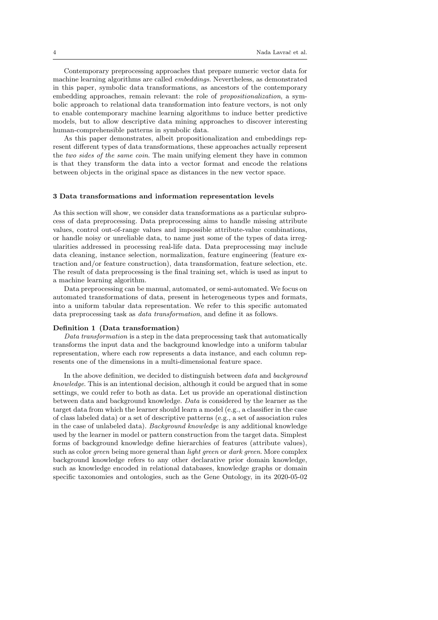Contemporary preprocessing approaches that prepare numeric vector data for machine learning algorithms are called embeddings. Nevertheless, as demonstrated in this paper, symbolic data transformations, as ancestors of the contemporary embedding approaches, remain relevant: the role of propositionalization, a symbolic approach to relational data transformation into feature vectors, is not only to enable contemporary machine learning algorithms to induce better predictive models, but to allow descriptive data mining approaches to discover interesting human-comprehensible patterns in symbolic data.

As this paper demonstrates, albeit propositionalization and embeddings represent different types of data transformations, these approaches actually represent the two sides of the same coin. The main unifying element they have in common is that they transform the data into a vector format and encode the relations between objects in the original space as distances in the new vector space.

#### <span id="page-3-0"></span>3 Data transformations and information representation levels

As this section will show, we consider data transformations as a particular subprocess of data preprocessing. Data preprocessing aims to handle missing attribute values, control out-of-range values and impossible attribute-value combinations, or handle noisy or unreliable data, to name just some of the types of data irregularities addressed in processing real-life data. Data preprocessing may include data cleaning, instance selection, normalization, feature engineering (feature extraction and/or feature construction), data transformation, feature selection, etc. The result of data preprocessing is the final training set, which is used as input to a machine learning algorithm.

Data preprocessing can be manual, automated, or semi-automated. We focus on automated transformations of data, present in heterogeneous types and formats, into a uniform tabular data representation. We refer to this specific automated data preprocessing task as data transformation, and define it as follows.

#### <span id="page-3-1"></span>Definition 1 (Data transformation)

Data transformation is a step in the data preprocessing task that automatically transforms the input data and the background knowledge into a uniform tabular representation, where each row represents a data instance, and each column represents one of the dimensions in a multi-dimensional feature space.

In the above definition, we decided to distinguish between *data* and *background* knowledge. This is an intentional decision, although it could be argued that in some settings, we could refer to both as data. Let us provide an operational distinction between data and background knowledge. Data is considered by the learner as the target data from which the learner should learn a model (e.g., a classifier in the case of class labeled data) or a set of descriptive patterns (e.g., a set of association rules in the case of unlabeled data). Background knowledge is any additional knowledge used by the learner in model or pattern construction from the target data. Simplest forms of background knowledge define hierarchies of features (attribute values), such as color *green* being more general than *light green* or *dark green*. More complex background knowledge refers to any other declarative prior domain knowledge, such as knowledge encoded in relational databases, knowledge graphs or domain specific taxonomies and ontologies, such as the Gene Ontology, in its 2020-05-02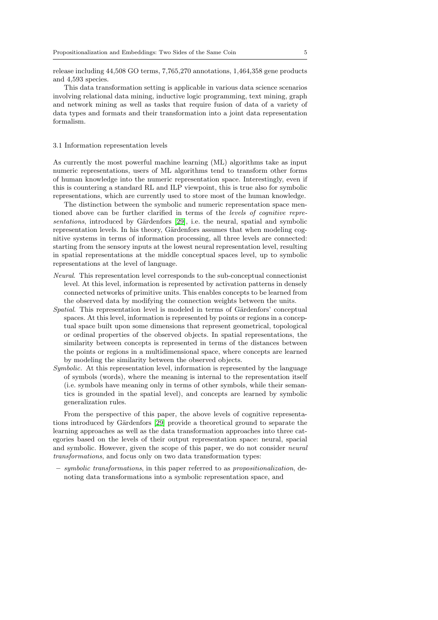release including 44,508 GO terms, 7,765,270 annotations, 1,464,358 gene products and 4,593 species.

This data transformation setting is applicable in various data science scenarios involving relational data mining, inductive logic programming, text mining, graph and network mining as well as tasks that require fusion of data of a variety of data types and formats and their transformation into a joint data representation formalism.

#### 3.1 Information representation levels

As currently the most powerful machine learning (ML) algorithms take as input numeric representations, users of ML algorithms tend to transform other forms of human knowledge into the numeric representation space. Interestingly, even if this is countering a standard RL and ILP viewpoint, this is true also for symbolic representations, which are currently used to store most of the human knowledge.

The distinction between the symbolic and numeric representation space mentioned above can be further clarified in terms of the *levels of cognitive repre-*sentations, introduced by Gärdenfors [\[29\]](#page-36-1), i.e. the neural, spatial and symbolic representation levels. In his theory, Gärdenfors assumes that when modeling cognitive systems in terms of information processing, all three levels are connected: starting from the sensory inputs at the lowest neural representation level, resulting in spatial representations at the middle conceptual spaces level, up to symbolic representations at the level of language.

- Neural. This representation level corresponds to the sub-conceptual connectionist level. At this level, information is represented by activation patterns in densely connected networks of primitive units. This enables concepts to be learned from the observed data by modifying the connection weights between the units.
- Spatial. This representation level is modeled in terms of Gärdenfors' conceptual spaces. At this level, information is represented by points or regions in a conceptual space built upon some dimensions that represent geometrical, topological or ordinal properties of the observed objects. In spatial representations, the similarity between concepts is represented in terms of the distances between the points or regions in a multidimensional space, where concepts are learned by modeling the similarity between the observed objects.
- Symbolic. At this representation level, information is represented by the language of symbols (words), where the meaning is internal to the representation itself (i.e. symbols have meaning only in terms of other symbols, while their semantics is grounded in the spatial level), and concepts are learned by symbolic generalization rules.

From the perspective of this paper, the above levels of cognitive representa-tions introduced by Gärdenfors [\[29\]](#page-36-1) provide a theoretical ground to separate the learning approaches as well as the data transformation approaches into three categories based on the levels of their output representation space: neural, spacial and symbolic. However, given the scope of this paper, we do not consider neural transformations, and focus only on two data transformation types:

– symbolic transformations, in this paper referred to as propositionalization, denoting data transformations into a symbolic representation space, and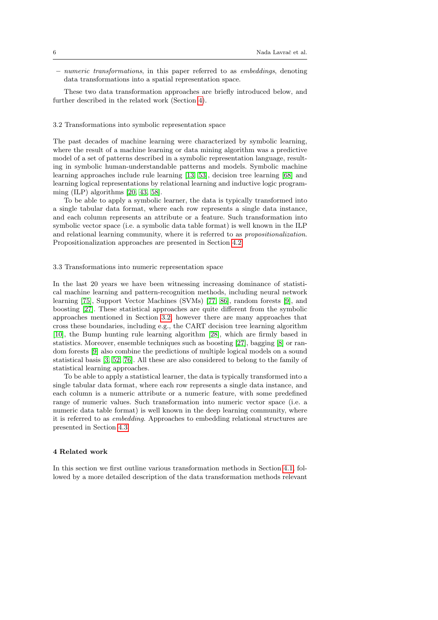– numeric transformations, in this paper referred to as embeddings, denoting data transformations into a spatial representation space.

These two data transformation approaches are briefly introduced below, and further described in the related work (Section [4\)](#page-5-0).

## <span id="page-5-1"></span>3.2 Transformations into symbolic representation space

The past decades of machine learning were characterized by symbolic learning, where the result of a machine learning or data mining algorithm was a predictive model of a set of patterns described in a symbolic representation language, resulting in symbolic human-understandable patterns and models. Symbolic machine learning approaches include rule learning [\[13,](#page-35-2) [53\]](#page-38-2), decision tree learning [\[68\]](#page-39-2) and learning logical representations by relational learning and inductive logic programming (ILP) algorithms [\[20,](#page-36-0) [43,](#page-37-1) [58\]](#page-38-0).

To be able to apply a symbolic learner, the data is typically transformed into a single tabular data format, where each row represents a single data instance, and each column represents an attribute or a feature. Such transformation into symbolic vector space (i.e. a symbolic data table format) is well known in the ILP and relational learning community, where it is referred to as propositionalization. Propositionalization approaches are presented in Section [4.2.](#page-7-0)

#### 3.3 Transformations into numeric representation space

In the last 20 years we have been witnessing increasing dominance of statistical machine learning and pattern-recognition methods, including neural network learning [\[75\]](#page-39-3), Support Vector Machines (SVMs) [\[77,](#page-39-4) [86\]](#page-40-2), random forests [\[9\]](#page-35-3), and boosting [\[27\]](#page-36-3). These statistical approaches are quite different from the symbolic approaches mentioned in Section [3.2,](#page-5-1) however there are many approaches that cross these boundaries, including e.g., the CART decision tree learning algorithm [\[10\]](#page-35-4), the Bump hunting rule learning algorithm [\[28\]](#page-36-4), which are firmly based in statistics. Moreover, ensemble techniques such as boosting [\[27\]](#page-36-3), bagging [\[8\]](#page-35-5) or random forests [\[9\]](#page-35-3) also combine the predictions of multiple logical models on a sound statistical basis [\[3,](#page-35-6) [52,](#page-37-3) [76\]](#page-39-5). All these are also considered to belong to the family of statistical learning approaches.

To be able to apply a statistical learner, the data is typically transformed into a single tabular data format, where each row represents a single data instance, and each column is a numeric attribute or a numeric feature, with some predefined range of numeric values. Such transformation into numeric vector space (i.e. a numeric data table format) is well known in the deep learning community, where it is referred to as embedding. Approaches to embedding relational structures are presented in Section [4.3.](#page-11-0)

# <span id="page-5-0"></span>4 Related work

In this section we first outline various transformation methods in Section [4.1,](#page-6-0) followed by a more detailed description of the data transformation methods relevant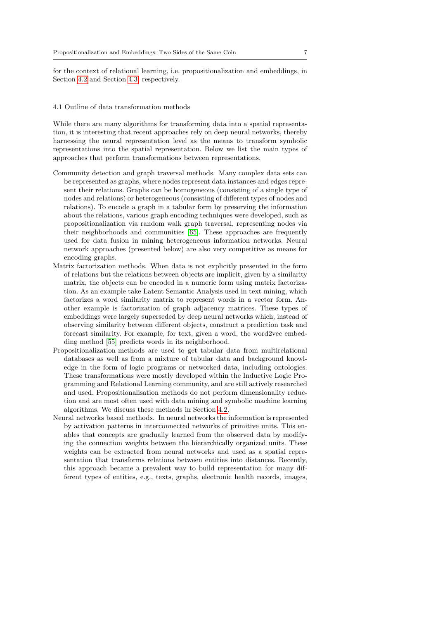for the context of relational learning, i.e. propositionalization and embeddings, in Section [4.2](#page-7-0) and Section [4.3,](#page-11-0) respectively.

### <span id="page-6-0"></span>4.1 Outline of data transformation methods

While there are many algorithms for transforming data into a spatial representation, it is interesting that recent approaches rely on deep neural networks, thereby harnessing the neural representation level as the means to transform symbolic representations into the spatial representation. Below we list the main types of approaches that perform transformations between representations.

- Community detection and graph traversal methods. Many complex data sets can be represented as graphs, where nodes represent data instances and edges represent their relations. Graphs can be homogeneous (consisting of a single type of nodes and relations) or heterogeneous (consisting of different types of nodes and relations). To encode a graph in a tabular form by preserving the information about the relations, various graph encoding techniques were developed, such as propositionalization via random walk graph traversal, representing nodes via their neighborhoods and communities [\[65\]](#page-38-3). These approaches are frequently used for data fusion in mining heterogeneous information networks. Neural network approaches (presented below) are also very competitive as means for encoding graphs.
- Matrix factorization methods. When data is not explicitly presented in the form of relations but the relations between objects are implicit, given by a similarity matrix, the objects can be encoded in a numeric form using matrix factorization. As an example take Latent Semantic Analysis used in text mining, which factorizes a word similarity matrix to represent words in a vector form. Another example is factorization of graph adjacency matrices. These types of embeddings were largely superseded by deep neural networks which, instead of observing similarity between different objects, construct a prediction task and forecast similarity. For example, for text, given a word, the word2vec embedding method [\[55\]](#page-38-1) predicts words in its neighborhood.
- Propositionalization methods are used to get tabular data from multirelational databases as well as from a mixture of tabular data and background knowledge in the form of logic programs or networked data, including ontologies. These transformations were mostly developed within the Inductive Logic Programming and Relational Learning community, and are still actively researched and used. Propositionalisation methods do not perform dimensionality reduction and are most often used with data mining and symbolic machine learning algorithms. We discuss these methods in Section [4.2.](#page-7-0)
- Neural networks based methods. In neural networks the information is represented by activation patterns in interconnected networks of primitive units. This enables that concepts are gradually learned from the observed data by modifying the connection weights between the hierarchically organized units. These weights can be extracted from neural networks and used as a spatial representation that transforms relations between entities into distances. Recently, this approach became a prevalent way to build representation for many different types of entities, e.g., texts, graphs, electronic health records, images,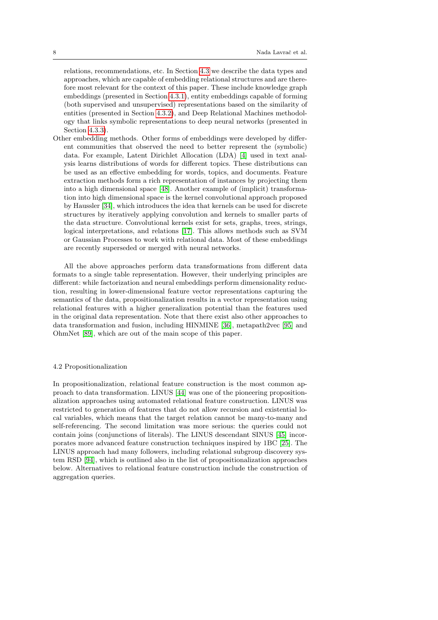relations, recommendations, etc. In Section [4.3](#page-11-0) we describe the data types and approaches, which are capable of embedding relational structures and are therefore most relevant for the context of this paper. These include knowledge graph embeddings (presented in Section [4.3.1\)](#page-11-1), entity embeddings capable of forming (both supervised and unsupervised) representations based on the similarity of entities (presented in Section [4.3.2\)](#page-14-0), and Deep Relational Machines methodology that links symbolic representations to deep neural networks (presented in Section [4.3.3\)](#page-15-0).

Other embedding methods. Other forms of embeddings were developed by different communities that observed the need to better represent the (symbolic) data. For example, Latent Dirichlet Allocation (LDA) [\[4\]](#page-35-7) used in text analysis learns distributions of words for different topics. These distributions can be used as an effective embedding for words, topics, and documents. Feature extraction methods form a rich representation of instances by projecting them into a high dimensional space [\[48\]](#page-37-4). Another example of (implicit) transformation into high dimensional space is the kernel convolutional approach proposed by Haussler [\[34\]](#page-36-5), which introduces the idea that kernels can be used for discrete structures by iteratively applying convolution and kernels to smaller parts of the data structure. Convolutional kernels exist for sets, graphs, trees, strings, logical interpretations, and relations [\[17\]](#page-35-8). This allows methods such as SVM or Gaussian Processes to work with relational data. Most of these embeddings are recently superseded or merged with neural networks.

All the above approaches perform data transformations from different data formats to a single table representation. However, their underlying principles are different: while factorization and neural embeddings perform dimensionality reduction, resulting in lower-dimensional feature vector representations capturing the semantics of the data, propositionalization results in a vector representation using relational features with a higher generalization potential than the features used in the original data representation. Note that there exist also other approaches to data transformation and fusion, including HINMINE [\[36\]](#page-36-6), metapath2vec [\[95\]](#page-40-3) and OhmNet [\[89\]](#page-40-4), which are out of the main scope of this paper.

# <span id="page-7-0"></span>4.2 Propositionalization

In propositionalization, relational feature construction is the most common approach to data transformation. LINUS [\[44\]](#page-37-5) was one of the pioneering propositionalization approaches using automated relational feature construction. LINUS was restricted to generation of features that do not allow recursion and existential local variables, which means that the target relation cannot be many-to-many and self-referencing. The second limitation was more serious: the queries could not contain joins (conjunctions of literals). The LINUS descendant SINUS [\[45\]](#page-37-6) incorporates more advanced feature construction techniques inspired by 1BC [\[25\]](#page-36-7). The LINUS approach had many followers, including relational subgroup discovery system RSD [\[94\]](#page-40-0), which is outlined also in the list of propositionalization approaches below. Alternatives to relational feature construction include the construction of aggregation queries.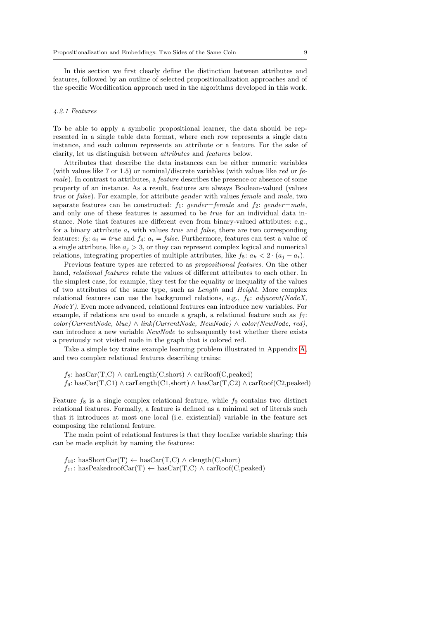In this section we first clearly define the distinction between attributes and features, followed by an outline of selected propositionalization approaches and of the specific Wordification approach used in the algorithms developed in this work.

### 4.2.1 Features

To be able to apply a symbolic propositional learner, the data should be represented in a single table data format, where each row represents a single data instance, and each column represents an attribute or a feature. For the sake of clarity, let us distinguish between attributes and features below.

Attributes that describe the data instances can be either numeric variables (with values like 7 or 1.5) or nominal/discrete variables (with values like red or  $fe$ male). In contrast to attributes, a feature describes the presence or absence of some property of an instance. As a result, features are always Boolean-valued (values true or false). For example, for attribute gender with values female and male, two separate features can be constructed:  $f_1$ : gender=female and  $f_2$ : gender=male, and only one of these features is assumed to be true for an individual data instance. Note that features are different even from binary-valued attributes: e.g., for a binary attribute  $a_i$  with values *true* and *false*, there are two corresponding features:  $f_3: a_i = true$  and  $f_4: a_i = false$ . Furthermore, features can test a value of a single attribute, like  $a_j > 3$ , or they can represent complex logical and numerical relations, integrating properties of multiple attributes, like  $f_5: a_k < 2 \cdot (a_i - a_i)$ .

Previous feature types are referred to as propositional features. On the other hand, *relational features* relate the values of different attributes to each other. In the simplest case, for example, they test for the equality or inequality of the values of two attributes of the same type, such as Length and Height. More complex relational features can use the background relations, e.g.,  $f_6$ :  $adjacent(NodeX,$ NodeY). Even more advanced, relational features can introduce new variables. For example, if relations are used to encode a graph, a relational feature such as  $f_7$ :  $color(CurrentNode, blue) \wedge link(CurrentNode, NewNode) \wedge color(NewNode, red),$ can introduce a new variable NewNode to subsequently test whether there exists a previously not visited node in the graph that is colored red.

Take a simple toy trains example learning problem illustrated in Appendix [A,](#page-40-5) and two complex relational features describing trains:

 $f_8$ : hasCar(T,C)  $\land$  carLength(C,short)  $\land$  carRoof(C,peaked)

 $f_9: \text{hasCar}(T, C1) \wedge \text{carLength}(C1, \text{short}) \wedge \text{hasCar}(T, C2) \wedge \text{carRoot}(C2, \text{peaked})$ 

Feature  $f_8$  is a single complex relational feature, while  $f_9$  contains two distinct relational features. Formally, a feature is defined as a minimal set of literals such that it introduces at most one local (i.e. existential) variable in the feature set composing the relational feature.

The main point of relational features is that they localize variable sharing: this can be made explicit by naming the features:

 $f_{10}$ : hasShortCar(T) ← hasCar(T,C) ∧ clength(C,short)  $f_{11}$ : hasPeakedroofCar(T) ← hasCar(T,C) ∧ carRoof(C,peaked)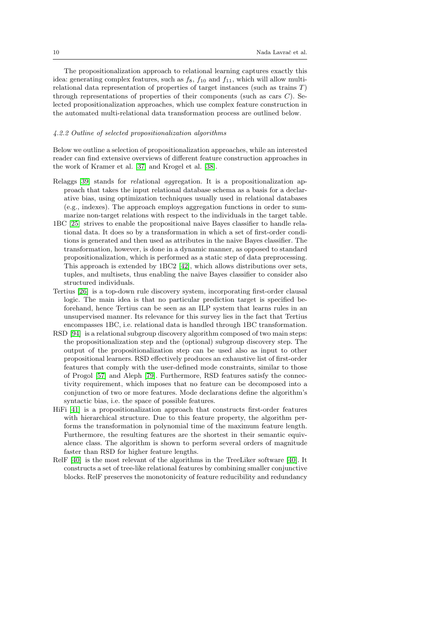The propositionalization approach to relational learning captures exactly this idea: generating complex features, such as  $f_8$ ,  $f_{10}$  and  $f_{11}$ , which will allow multirelational data representation of properties of target instances (such as trains T) through representations of properties of their components (such as cars  $C$ ). Selected propositionalization approaches, which use complex feature construction in the automated multi-relational data transformation process are outlined below.

# 4.2.2 Outline of selected propositionalization algorithms

Below we outline a selection of propositionalization approaches, while an interested reader can find extensive overviews of different feature construction approaches in the work of Kramer et al. [\[37\]](#page-37-0) and Krogel et al. [\[38\]](#page-37-7).

- Relaggs [\[39\]](#page-37-8) stands for relational aggregation. It is a propositionalization approach that takes the input relational database schema as a basis for a declarative bias, using optimization techniques usually used in relational databases (e.g., indexes). The approach employs aggregation functions in order to summarize non-target relations with respect to the individuals in the target table.
- 1BC [\[25\]](#page-36-7) strives to enable the propositional naive Bayes classifier to handle relational data. It does so by a transformation in which a set of first-order conditions is generated and then used as attributes in the naive Bayes classifier. The transformation, however, is done in a dynamic manner, as opposed to standard propositionalization, which is performed as a static step of data preprocessing. This approach is extended by 1BC2 [\[42\]](#page-37-9), which allows distributions over sets, tuples, and multisets, thus enabling the naive Bayes classifier to consider also structured individuals.
- Tertius [\[26\]](#page-36-8) is a top-down rule discovery system, incorporating first-order clausal logic. The main idea is that no particular prediction target is specified beforehand, hence Tertius can be seen as an ILP system that learns rules in an unsupervised manner. Its relevance for this survey lies in the fact that Tertius encompasses 1BC, i.e. relational data is handled through 1BC transformation.
- RSD [\[94\]](#page-40-0) is a relational subgroup discovery algorithm composed of two main steps: the propositionalization step and the (optional) subgroup discovery step. The output of the propositionalization step can be used also as input to other propositional learners. RSD effectively produces an exhaustive list of first-order features that comply with the user-defined mode constraints, similar to those of Progol [\[57\]](#page-38-4) and Aleph [\[79\]](#page-39-6). Furthermore, RSD features satisfy the connectivity requirement, which imposes that no feature can be decomposed into a conjunction of two or more features. Mode declarations define the algorithm's syntactic bias, i.e. the space of possible features.
- HiFi [\[41\]](#page-37-10) is a propositionalization approach that constructs first-order features with hierarchical structure. Due to this feature property, the algorithm performs the transformation in polynomial time of the maximum feature length. Furthermore, the resulting features are the shortest in their semantic equivalence class. The algorithm is shown to perform several orders of magnitude faster than RSD for higher feature lengths.
- RelF [\[40\]](#page-37-11) is the most relevant of the algorithms in the TreeLiker software [\[40\]](#page-37-11). It constructs a set of tree-like relational features by combining smaller conjunctive blocks. RelF preserves the monotonicity of feature reducibility and redundancy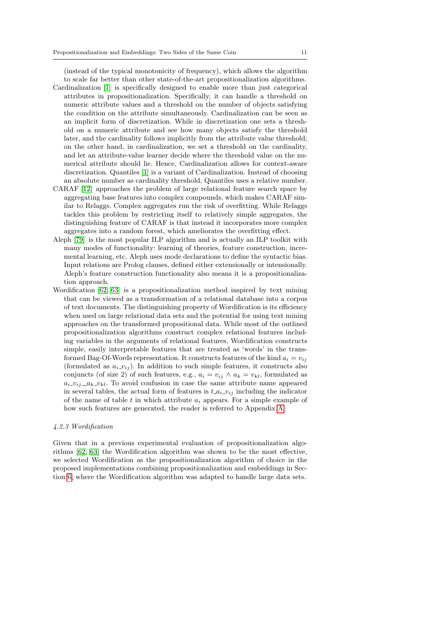(instead of the typical monotonicity of frequency), which allows the algorithm to scale far better than other state-of-the-art propositionalization algorithms. Cardinalization [\[1\]](#page-35-9) is specifically designed to enable more than just categorical

- attributes in propositionalization. Specifically, it can handle a threshold on numeric attribute values and a threshold on the number of objects satisfying the condition on the attribute simultaneously. Cardinalization can be seen as an implicit form of discretization. While in discretization one sets a threshold on a numeric attribute and see how many objects satisfy the threshold later, and the cardinality follows implicitly from the attribute value threshold; on the other hand, in cardinalization, we set a threshold on the cardinality, and let an attribute-value learner decide where the threshold value on the numerical attribute should lie. Hence, Cardinalization allows for context-aware discretization. Quantiles [\[1\]](#page-35-9) is a variant of Cardinalization. Instead of choosing an absolute number as cardinality threshold, Quantiles uses a relative number.
- CARAF [\[12\]](#page-35-10) approaches the problem of large relational feature search space by aggregating base features into complex compounds, which makes CARAF similar to Relaggs. Complex aggregates run the risk of overfitting. While Relaggs tackles this problem by restricting itself to relatively simple aggregates, the distinguishing feature of CARAF is that instead it incorporates more complex aggregates into a random forest, which ameliorates the overfitting effect.
- Aleph [\[79\]](#page-39-6) is the most popular ILP algorithm and is actually an ILP toolkit with many modes of functionality: learning of theories, feature construction, incremental learning, etc. Aleph uses mode declarations to define the syntactic bias. Input relations are Prolog clauses, defined either extensionally or intensionally. Aleph's feature construction functionality also means it is a propositionalization approach.
- Wordification [\[62,](#page-38-5) [63\]](#page-38-6) is a propositionalization method inspired by text mining that can be viewed as a transformation of a relational database into a corpus of text documents. The distinguishing property of Wordification is its efficiency when used on large relational data sets and the potential for using text mining approaches on the transformed propositional data. While most of the outlined propositionalization algorithms construct complex relational features including variables in the arguments of relational features, Wordification constructs simple, easily interpretable features that are treated as 'words' in the transformed Bag-Of-Words representation. It constructs features of the kind  $a_i = v_{ij}$ (formulated as  $a_i$ - $v_{ij}$ ). In addition to such simple features, it constructs also conjuncts (of size 2) of such features, e.g.,  $a_i = v_{ij} \wedge a_k = v_{kl}$ , formulated as  $a_i$ - $v_i$ <sub>j</sub>- $a_k$ - $v_k$ l. To avoid confusion in case the same attribute name appeared in several tables, the actual form of features is  $t_a_i v_{ij}$  including the indicator of the name of table t in which attribute  $a_i$  appears. For a simple example of how such features are generated, the reader is referred to Appendix [A.](#page-40-5)

### <span id="page-10-0"></span>4.2.3 Wordification

Given that in a previous experimental evaluation of propositionalization algorithms [\[62,](#page-38-5) [63\]](#page-38-6) the Wordification algorithm was shown to be the most effective, we selected Wordification as the propositionalization algorithm of choice in the proposed implementations combining propositionalization and embeddings in Section [6,](#page-21-0) where the Wordification algorithm was adapted to handle large data sets.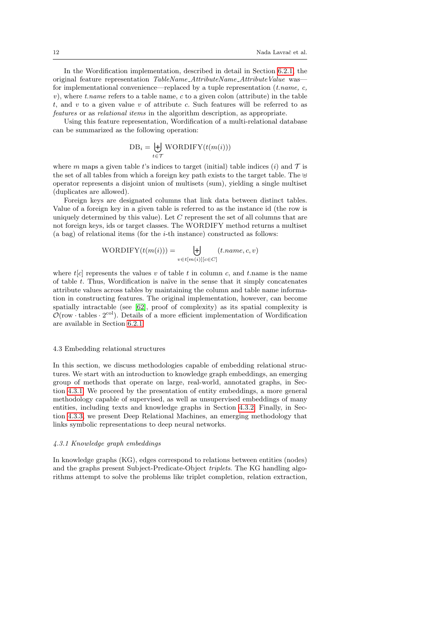In the Wordification implementation, described in detail in Section [6.2.1,](#page-24-0) the original feature representation TableName\_AttributeName\_AttributeValue was for implementational convenience—replaced by a tuple representation  $(t.name, c, t)$  $v$ ), where t.name refers to a table name, c to a given colon (attribute) in the table t, and v to a given value v of attribute c. Such features will be referred to as features or as relational items in the algorithm description, as appropriate.

Using this feature representation, Wordification of a multi-relational database can be summarized as the following operation:

$$
DB_i = \biguplus_{t \in \mathcal{T}} \text{WORDIFY}(t(m(i)))
$$

where m maps a given table t's indices to target (initial) table indices (i) and  $\mathcal T$  is the set of all tables from which a foreign key path exists to the target table. The  $\oplus$ operator represents a disjoint union of multisets (sum), yielding a single multiset (duplicates are allowed).

Foreign keys are designated columns that link data between distinct tables. Value of a foreign key in a given table is referred to as the instance id (the row is uniquely determined by this value). Let C represent the set of all columns that are not foreign keys, ids or target classes. The WORDIFY method returns a multiset  $(a$  bag) of relational items (for the *i*-th instance) constructed as follows:

$$
WORDIFY(t(m(i))) = \biguplus_{v \in t[m(i)][c \in C]} (t.name, c, v)
$$

where  $t[c]$  represents the values v of table t in column c, and t name is the name of table  $t$ . Thus, Wordification is naïve in the sense that it simply concatenates attribute values across tables by maintaining the column and table name information in constructing features. The original implementation, however, can become spatially intractable (see [\[62\]](#page-38-5), proof of complexity) as its spatial complexity is  $\mathcal{O}(\text{row} \cdot \text{tables} \cdot 2^{\text{col}})$ . Details of a more efficient implementation of Wordification are available in Section [6.2.1.](#page-24-0)

### <span id="page-11-0"></span>4.3 Embedding relational structures

In this section, we discuss methodologies capable of embedding relational structures. We start with an introduction to knowledge graph embeddings, an emerging group of methods that operate on large, real-world, annotated graphs, in Section [4.3.1.](#page-11-1) We proceed by the presentation of entity embeddings, a more general methodology capable of supervised, as well as unsupervised embeddings of many entities, including texts and knowledge graphs in Section [4.3.2.](#page-14-0) Finally, in Section [4.3.3,](#page-15-0) we present Deep Relational Machines, an emerging methodology that links symbolic representations to deep neural networks.

#### <span id="page-11-1"></span>4.3.1 Knowledge graph embeddings

In knowledge graphs (KG), edges correspond to relations between entities (nodes) and the graphs present Subject-Predicate-Object triplets. The KG handling algorithms attempt to solve the problems like triplet completion, relation extraction,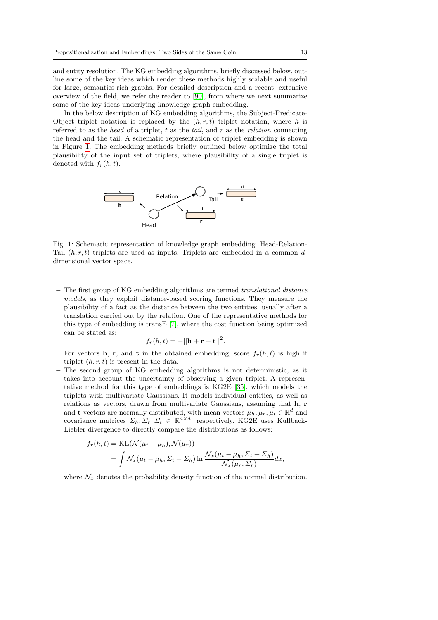and entity resolution. The KG embedding algorithms, briefly discussed below, outline some of the key ideas which render these methods highly scalable and useful for large, semantics-rich graphs. For detailed description and a recent, extensive overview of the field, we refer the reader to [\[90\]](#page-40-6), from where we next summarize some of the key ideas underlying knowledge graph embedding.

In the below description of KG embedding algorithms, the Subject-Predicate-Object triplet notation is replaced by the  $(h, r, t)$  triplet notation, where h is referred to as the head of a triplet,  $t$  as the tail, and  $r$  as the relation connecting the head and the tail. A schematic representation of triplet embedding is shown in Figure [1.](#page-12-0) The embedding methods briefly outlined below optimize the total plausibility of the input set of triplets, where plausibility of a single triplet is denoted with  $f_r(h, t)$ .

<span id="page-12-0"></span>

Fig. 1: Schematic representation of knowledge graph embedding. Head-Relation-Tail  $(h, r, t)$  triplets are used as inputs. Triplets are embedded in a common ddimensional vector space.

– The first group of KG embedding algorithms are termed translational distance models, as they exploit distance-based scoring functions. They measure the plausibility of a fact as the distance between the two entities, usually after a translation carried out by the relation. One of the representative methods for this type of embedding is transE [\[7\]](#page-35-11), where the cost function being optimized can be stated as:

$$
f_r(h,t) = -||\mathbf{h} + \mathbf{r} - \mathbf{t}||^2.
$$

For vectors **h**, **r**, and **t** in the obtained embedding, score  $f_r(h, t)$  is high if triplet  $(h, r, t)$  is present in the data.

– The second group of KG embedding algorithms is not deterministic, as it takes into account the uncertainty of observing a given triplet. A representative method for this type of embeddings is KG2E [\[35\]](#page-36-9), which models the triplets with multivariate Gaussians. It models individual entities, as well as relations as vectors, drawn from multivariate Gaussians, assuming that h, r and t vectors are normally distributed, with mean vectors  $\mu_h, \mu_r, \mu_t \in \mathbb{R}^d$  and covariance matrices  $\Sigma_h, \Sigma_r, \Sigma_t \in \mathbb{R}^{d \times d}$ , respectively. KG2E uses Kullback-Liebler divergence to directly compare the distributions as follows:

$$
f_r(h,t) = \text{KL}(\mathcal{N}(\mu_t - \mu_h), \mathcal{N}(\mu_r))
$$
  
= 
$$
\int \mathcal{N}_x(\mu_t - \mu_h, \Sigma_t + \Sigma_h) \ln \frac{\mathcal{N}_x(\mu_t - \mu_h, \Sigma_t + \Sigma_h)}{\mathcal{N}_x(\mu_r, \Sigma_r)} dx,
$$

where  $\mathcal{N}_x$  denotes the probability density function of the normal distribution.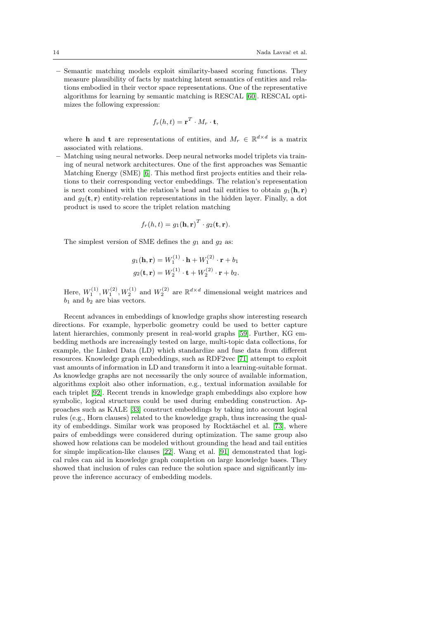– Semantic matching models exploit similarity-based scoring functions. They measure plausibility of facts by matching latent semantics of entities and relations embodied in their vector space representations. One of the representative algorithms for learning by semantic matching is RESCAL [\[60\]](#page-38-7). RESCAL optimizes the following expression:

$$
f_r(h,t) = \mathbf{r}^T \cdot M_r \cdot \mathbf{t},
$$

where **h** and **t** are representations of entities, and  $M_r \in \mathbb{R}^{d \times d}$  is a matrix associated with relations.

– Matching using neural networks. Deep neural networks model triplets via training of neural network architectures. One of the first approaches was Semantic Matching Energy (SME) [\[6\]](#page-35-12). This method first projects entities and their relations to their corresponding vector embeddings. The relation's representation is next combined with the relation's head and tail entities to obtain  $q_1(\mathbf{h}, \mathbf{r})$ and  $g_2(\mathbf{t}, \mathbf{r})$  entity-relation representations in the hidden layer. Finally, a dot product is used to score the triplet relation matching

$$
f_r(h,t) = g_1(\mathbf{h}, \mathbf{r})^T \cdot g_2(\mathbf{t}, \mathbf{r}).
$$

The simplest version of SME defines the  $g_1$  and  $g_2$  as:

$$
g_1(\mathbf{h}, \mathbf{r}) = W_1^{(1)} \cdot \mathbf{h} + W_1^{(2)} \cdot \mathbf{r} + b_1
$$

$$
g_2(\mathbf{t}, \mathbf{r}) = W_2^{(1)} \cdot \mathbf{t} + W_2^{(2)} \cdot \mathbf{r} + b_2.
$$

Here,  $W_1^{(1)}, W_1^{(2)}, W_2^{(1)}$  and  $W_2^{(2)}$  are  $\mathbb{R}^{d \times d}$  dimensional weight matrices and  $b_1$  and  $b_2$  are bias vectors.

Recent advances in embeddings of knowledge graphs show interesting research directions. For example, hyperbolic geometry could be used to better capture latent hierarchies, commonly present in real-world graphs [\[59\]](#page-38-8). Further, KG embedding methods are increasingly tested on large, multi-topic data collections, for example, the Linked Data (LD) which standardize and fuse data from different resources. Knowledge graph embeddings, such as RDF2vec [\[71\]](#page-39-7) attempt to exploit vast amounts of information in LD and transform it into a learning-suitable format. As knowledge graphs are not necessarily the only source of available information, algorithms exploit also other information, e.g., textual information available for each triplet [\[92\]](#page-40-7). Recent trends in knowledge graph embeddings also explore how symbolic, logical structures could be used during embedding construction. Approaches such as KALE [\[33\]](#page-36-10) construct embeddings by taking into account logical rules (e.g., Horn clauses) related to the knowledge graph, thus increasing the qual-ity of embeddings. Similar work was proposed by Rocktäschel et al. [\[73\]](#page-39-8), where pairs of embeddings were considered during optimization. The same group also showed how relations can be modeled without grounding the head and tail entities for simple implication-like clauses [\[22\]](#page-36-11). Wang et al. [\[91\]](#page-40-8) demonstrated that logical rules can aid in knowledge graph completion on large knowledge bases. They showed that inclusion of rules can reduce the solution space and significantly improve the inference accuracy of embedding models.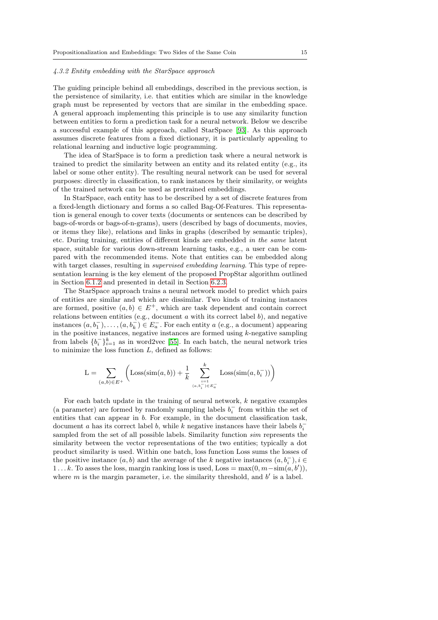### <span id="page-14-0"></span>4.3.2 Entity embedding with the StarSpace approach

The guiding principle behind all embeddings, described in the previous section, is the persistence of similarity, i.e. that entities which are similar in the knowledge graph must be represented by vectors that are similar in the embedding space. A general approach implementing this principle is to use any similarity function between entities to form a prediction task for a neural network. Below we describe a successful example of this approach, called StarSpace [\[93\]](#page-40-1). As this approach assumes discrete features from a fixed dictionary, it is particularly appealing to relational learning and inductive logic programming.

The idea of StarSpace is to form a prediction task where a neural network is trained to predict the similarity between an entity and its related entity (e.g., its label or some other entity). The resulting neural network can be used for several purposes: directly in classification, to rank instances by their similarity, or weights of the trained network can be used as pretrained embeddings.

In StarSpace, each entity has to be described by a set of discrete features from a fixed-length dictionary and forms a so called Bag-Of-Features. This representation is general enough to cover texts (documents or sentences can be described by bags-of-words or bags-of-n-grams), users (described by bags of documents, movies, or items they like), relations and links in graphs (described by semantic triples), etc. During training, entities of different kinds are embedded in the same latent space, suitable for various down-stream learning tasks, e.g., a user can be compared with the recommended items. Note that entities can be embedded along with target classes, resulting in *supervised embedding learning*. This type of representation learning is the key element of the proposed PropStar algorithm outlined in Section [6.1.2](#page-23-0) and presented in detail in Section [6.2.3.](#page-26-0)

The StarSpace approach trains a neural network model to predict which pairs of entities are similar and which are dissimilar. Two kinds of training instances are formed, positive  $(a, b) \in E^+$ , which are task dependent and contain correct relations between entities (e.g., document  $a$  with its correct label  $b$ ), and negative instances  $(a, b_1^-), \ldots, (a, b_k^-) \in E_a^-$ . For each entity a (e.g., a document) appearing in the positive instances, negative instances are formed using  $k$ -negative sampling from labels  $\{b_i^-\}_{i=1}^k$  as in word2vec [\[55\]](#page-38-1). In each batch, the neural network tries to minimize the loss function  $L$ , defined as follows:

$$
L = \sum_{(a,b)\in E^{+}} \left( \text{Loss}(\text{sim}(a,b)) + \frac{1}{k} \sum_{\substack{i=1 \ (a,b_i^-) \in E_a^-}}^{k} \text{Loss}(\text{sim}(a,b_i^-)) \right)
$$

For each batch update in the training of neural network,  $k$  negative examples (a parameter) are formed by randomly sampling labels  $b_i^-$  from within the set of entities that can appear in b. For example, in the document classification task, document a has its correct label b, while k negative instances have their labels  $b_i^$ sampled from the set of all possible labels. Similarity function sim represents the similarity between the vector representations of the two entities; typically a dot product similarity is used. Within one batch, loss function Loss sums the losses of the positive instance  $(a, b)$  and the average of the k negative instances  $(a, b<sub>i</sub><sup>-</sup>), i \in$ 1...k. To asses the loss, margin ranking loss is used, Loss =  $\max(0, m - \text{sim}(a, b'))$ , where  $m$  is the margin parameter, i.e. the similarity threshold, and  $b'$  is a label.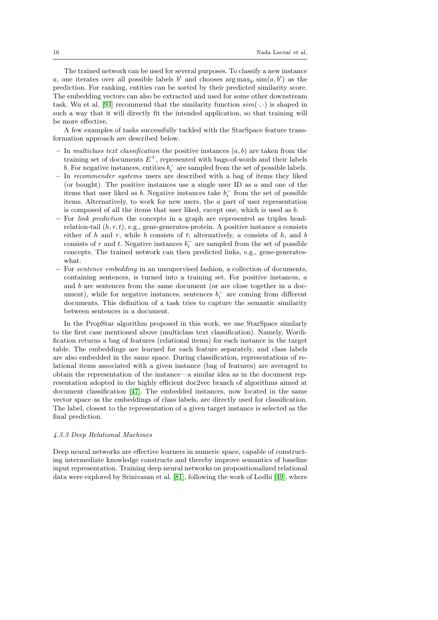The trained network can be used for several purposes. To classify a new instance a, one iterates over all possible labels b' and chooses  $\arg \max_{b'} \text{sim}(a, b')$  as the prediction. For ranking, entities can be sorted by their predicted similarity score. The embedding vectors can also be extracted and used for some other downstream task. Wu et al. [\[93\]](#page-40-1) recommend that the similarity function  $sim(\cdot, \cdot)$  is shaped in such a way that it will directly fit the intended application, so that training will be more effective.

A few examples of tasks successfully tackled with the StarSpace feature transformation approach are described below.

- In multiclass text classification the positive instances  $(a, b)$  are taken from the training set of documents  $E^+$ , represented with bags-of-words and their labels b. For negative instances, entities  $b_i^-$  are sampled from the set of possible labels.
- In recommender systems users are described with a bag of items they liked (or bought). The positive instances use a single user ID as  $a$  and one of the items that user liked as b. Negative instances take  $b_i^-$  from the set of possible items. Alternatively, to work for new users, the a part of user representation is composed of all the items that user liked, except one, which is used as b.
- For link prediction the concepts in a graph are represented as triples headrelation-tail  $(h, r, t)$ , e.g., gene-generates-protein. A positive instance a consists either of h and r, while b consists of t; alternatively, a consists of h, and b consists of r and t. Negative instances  $b_i^-$  are sampled from the set of possible concepts. The trained network can then predicted links, e.g., gene-generateswhat.
- For sentence embedding in an unsupervised fashion, a collection of documents, containing sentences, is turned into a training set. For positive instances, a and b are sentences from the same document (or are close together in a document), while for negative instances, sentences  $b_i^-$  are coming from different documents. This definition of a task tries to capture the semantic similarity between sentences in a document.

In the PropStar algorithm proposed in this work, we use StarSpace similarly to the first case mentioned above (multiclass text classification). Namely, Wordification returns a bag of features (relational items) for each instance in the target table. The embeddings are learned for each feature separately, and class labels are also embedded in the same space. During classification, representations of relational items associated with a given instance (bag of features) are averaged to obtain the representation of the instance—a similar idea as in the document representation adopted in the highly efficient doc2vec branch of algorithms aimed at document classification [\[47\]](#page-37-12). The embedded instances, now located in the same vector space as the embeddings of class labels, are directly used for classification. The label, closest to the representation of a given target instance is selected as the final prediction.

#### <span id="page-15-0"></span>4.3.3 Deep Relational Machines

Deep neural networks are effective learners in numeric space, capable of constructing intermediate knowledge constructs and thereby improve semantics of baseline input representation. Training deep neural networks on propositionalized relational data were explored by Srinivasan et al. [\[81\]](#page-39-0), following the work of Lodhi [\[49\]](#page-37-2), where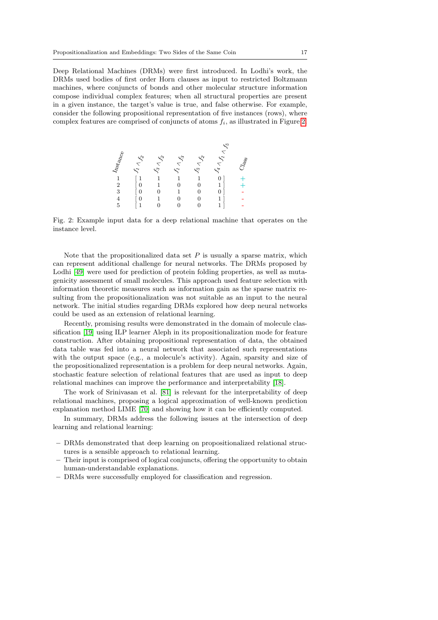Deep Relational Machines (DRMs) were first introduced. In Lodhi's work, the DRMs used bodies of first order Horn clauses as input to restricted Boltzmann machines, where conjuncts of bonds and other molecular structure information compose individual complex features; when all structural properties are present in a given instance, the target's value is true, and false otherwise. For example, consider the following propositional representation of five instances (rows), where complex features are comprised of conjuncts of atoms  $f_i$ , as illustrated in Figure [2.](#page-16-0)

<span id="page-16-0"></span>

| $\begin{array}{c} 4 \times 10^{10} M_{\odot} \\ 1 \times 10^{10} M_{\odot} \\ 3 \times 4 \times 10^{10} M_{\odot} \\ 5 \times 10^{10} M_{\odot} \\ \end{array}$ | $\begin{array}{c}\n-\mathcal{L}_{1} & \mathcal{L}_{2}\n\end{array}$ | $\mathcal{S}_3 \wedge \mathcal{S}_2$ | $\mathcal{S}_1 \wedge \mathcal{S}_3$ | $\mathcal{J}_5 \wedge \mathcal{J}_2$ | $\mathcal{S}_4 \wedge \mathcal{S}_1 \wedge \mathcal{S}_5$ | $C_{\rm{dag}}$                                                |
|-----------------------------------------------------------------------------------------------------------------------------------------------------------------|---------------------------------------------------------------------|--------------------------------------|--------------------------------------|--------------------------------------|-----------------------------------------------------------|---------------------------------------------------------------|
|                                                                                                                                                                 |                                                                     |                                      |                                      |                                      |                                                           |                                                               |
|                                                                                                                                                                 | $\mathbf{1}$                                                        |                                      | $\mathbf{1}$                         | 1                                    | 0                                                         |                                                               |
|                                                                                                                                                                 |                                                                     |                                      |                                      |                                      |                                                           | $\frac{1}{2}$ + $\frac{1}{2}$ + $\frac{1}{2}$ + $\frac{1}{2}$ |
|                                                                                                                                                                 | $\begin{matrix}0\\0\end{matrix}$                                    |                                      | $\frac{1}{1}$                        | $_0^0$                               | 0                                                         |                                                               |
|                                                                                                                                                                 | $\boldsymbol{0}$                                                    |                                      | $\overline{0}$                       | $\boldsymbol{0}$                     |                                                           |                                                               |
|                                                                                                                                                                 |                                                                     |                                      | $\overline{0}$                       | $\overline{0}$                       |                                                           |                                                               |

Fig. 2: Example input data for a deep relational machine that operates on the instance level.

Note that the propositionalized data set  $P$  is usually a sparse matrix, which can represent additional challenge for neural networks. The DRMs proposed by Lodhi [\[49\]](#page-37-2) were used for prediction of protein folding properties, as well as mutagenicity assessment of small molecules. This approach used feature selection with information theoretic measures such as information gain as the sparse matrix resulting from the propositionalization was not suitable as an input to the neural network. The initial studies regarding DRMs explored how deep neural networks could be used as an extension of relational learning.

Recently, promising results were demonstrated in the domain of molecule classification [\[19\]](#page-36-12) using ILP learner Aleph in its propositionalization mode for feature construction. After obtaining propositional representation of data, the obtained data table was fed into a neural network that associated such representations with the output space (e.g., a molecule's activity). Again, sparsity and size of the propositionalized representation is a problem for deep neural networks. Again, stochastic feature selection of relational features that are used as input to deep relational machines can improve the performance and interpretability [\[18\]](#page-35-13).

The work of Srinivasan et al. [\[81\]](#page-39-0) is relevant for the interpretability of deep relational machines, proposing a logical approximation of well-known prediction explanation method LIME [\[70\]](#page-39-9) and showing how it can be efficiently computed.

In summary, DRMs address the following issues at the intersection of deep learning and relational learning:

- DRMs demonstrated that deep learning on propositionalized relational structures is a sensible approach to relational learning.
- Their input is comprised of logical conjuncts, offering the opportunity to obtain human-understandable explanations.
- DRMs were successfully employed for classification and regression.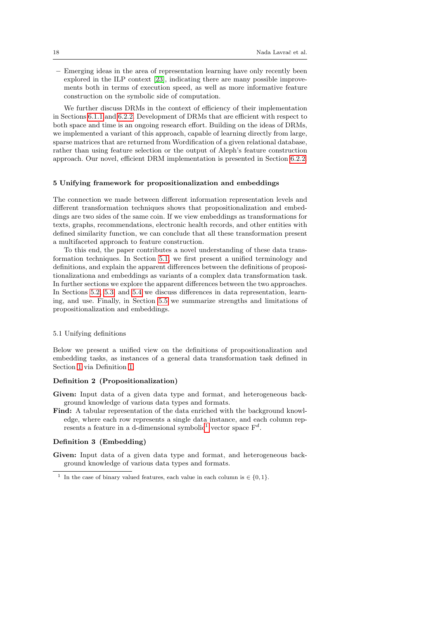– Emerging ideas in the area of representation learning have only recently been explored in the ILP context [\[23\]](#page-36-13), indicating there are many possible improvements both in terms of execution speed, as well as more informative feature construction on the symbolic side of computation.

We further discuss DRMs in the context of efficiency of their implementation in Sections [6.1.1](#page-21-1) and [6.2.2.](#page-25-0) Development of DRMs that are efficient with respect to both space and time is an ongoing research effort. Building on the ideas of DRMs, we implemented a variant of this approach, capable of learning directly from large, sparse matrices that are returned from Wordification of a given relational database, rather than using feature selection or the output of Aleph's feature construction approach. Our novel, efficient DRM implementation is presented in Section [6.2.2.](#page-25-0)

### <span id="page-17-0"></span>5 Unifying framework for propositionalization and embeddings

The connection we made between different information representation levels and different transformation techniques shows that propositionalization and embeddings are two sides of the same coin. If we view embeddings as transformations for texts, graphs, recommendations, electronic health records, and other entities with defined similarity function, we can conclude that all these transformation present a multifaceted approach to feature construction.

To this end, the paper contributes a novel understanding of these data transformation techniques. In Section [5.1,](#page-17-1) we first present a unified terminology and definitions, and explain the apparent differences between the definitions of propositionalizationa and embeddings as variants of a complex data transformation task. In further sections we explore the apparent differences between the two approaches. In Sections [5.2,](#page-18-0) [5.3,](#page-18-1) and [5.4](#page-19-0) we discuss differences in data representation, learning, and use. Finally, in Section [5.5](#page-20-0) we summarize strengths and limitations of propositionalization and embeddings.

### <span id="page-17-1"></span>5.1 Unifying definitions

Below we present a unified view on the definitions of propositionalization and embedding tasks, as instances of a general data transformation task defined in Section [1](#page-3-1) via Definition [1.](#page-3-1)

# Definition 2 (Propositionalization)

- Given: Input data of a given data type and format, and heterogeneous background knowledge of various data types and formats.
- Find: A tabular representation of the data enriched with the background knowledge, where each row represents a single data instance, and each column rep-resents a feature in a d-dimensional symbolic<sup>[1](#page-17-2)</sup> vector space  $F<sup>d</sup>$ .

# Definition 3 (Embedding)

Given: Input data of a given data type and format, and heterogeneous background knowledge of various data types and formats.

<span id="page-17-2"></span><sup>&</sup>lt;sup>1</sup> In the case of binary valued features, each value in each column is  $\in \{0, 1\}$ .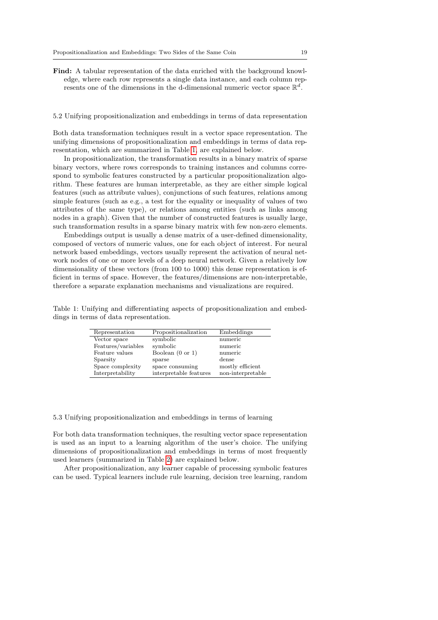Find: A tabular representation of the data enriched with the background knowledge, where each row represents a single data instance, and each column represents one of the dimensions in the d-dimensional numeric vector space  $\mathbb{R}^d$ .

### <span id="page-18-0"></span>5.2 Unifying propositionalization and embeddings in terms of data representation

Both data transformation techniques result in a vector space representation. The unifying dimensions of propositionalization and embeddings in terms of data representation, which are summarized in Table [1,](#page-18-2) are explained below.

In propositionalization, the transformation results in a binary matrix of sparse binary vectors, where rows corresponds to training instances and columns correspond to symbolic features constructed by a particular propositionalization algorithm. These features are human interpretable, as they are either simple logical features (such as attribute values), conjunctions of such features, relations among simple features (such as e.g., a test for the equality or inequality of values of two attributes of the same type), or relations among entities (such as links among nodes in a graph). Given that the number of constructed features is usually large, such transformation results in a sparse binary matrix with few non-zero elements.

Embeddings output is usually a dense matrix of a user-defined dimensionality, composed of vectors of numeric values, one for each object of interest. For neural network based embeddings, vectors usually represent the activation of neural network nodes of one or more levels of a deep neural network. Given a relatively low dimensionality of these vectors (from 100 to 1000) this dense representation is efficient in terms of space. However, the features/dimensions are non-interpretable, therefore a separate explanation mechanisms and visualizations are required.

<span id="page-18-2"></span>Table 1: Unifying and differentiating aspects of propositionalization and embeddings in terms of data representation.

| Representation     | Propositionalization        | Embeddings        |
|--------------------|-----------------------------|-------------------|
| Vector space       | symbolic                    | numeric           |
| Features/variables | symbolic                    | numeric           |
| Feature values     | Boolean $(0 \text{ or } 1)$ | numeric           |
| Sparsity           | sparse                      | dense             |
| Space complexity   | space consuming             | mostly efficient  |
| Interpretability   | interpretable features      | non-interpretable |

<span id="page-18-1"></span>5.3 Unifying propositionalization and embeddings in terms of learning

For both data transformation techniques, the resulting vector space representation is used as an input to a learning algorithm of the user's choice. The unifying dimensions of propositionalization and embeddings in terms of most frequently used learners (summarized in Table [2\)](#page-19-1) are explained below.

After propositionalization, any learner capable of processing symbolic features can be used. Typical learners include rule learning, decision tree learning, random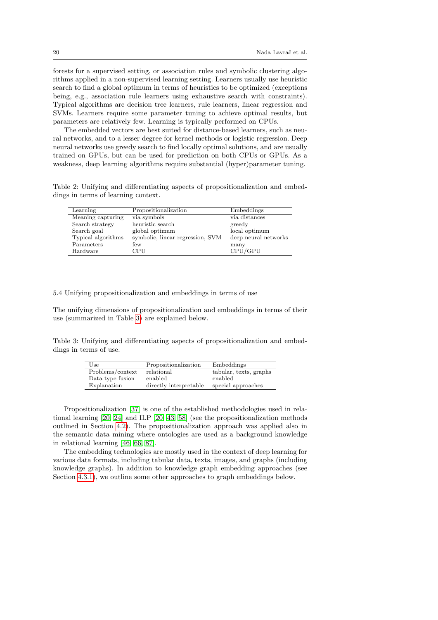forests for a supervised setting, or association rules and symbolic clustering algorithms applied in a non-supervised learning setting. Learners usually use heuristic search to find a global optimum in terms of heuristics to be optimized (exceptions being, e.g., association rule learners using exhaustive search with constraints). Typical algorithms are decision tree learners, rule learners, linear regression and SVMs. Learners require some parameter tuning to achieve optimal results, but parameters are relatively few. Learning is typically performed on CPUs.

The embedded vectors are best suited for distance-based learners, such as neural networks, and to a lesser degree for kernel methods or logistic regression. Deep neural networks use greedy search to find locally optimal solutions, and are usually trained on GPUs, but can be used for prediction on both CPUs or GPUs. As a weakness, deep learning algorithms require substantial (hyper)parameter tuning.

<span id="page-19-1"></span>Table 2: Unifying and differentiating aspects of propositionalization and embeddings in terms of learning context.

| Learning           | Propositionalization             | Embeddings           |
|--------------------|----------------------------------|----------------------|
| Meaning capturing  | via symbols                      | via distances        |
| Search strategy    | heuristic search                 | greedy               |
| Search goal        | global optimum                   | local optimum        |
| Typical algorithms | symbolic, linear regression, SVM | deep neural networks |
| Parameters         | few                              | many                 |
| Hardware           | CPU                              | CPU/GPU              |

<span id="page-19-0"></span>5.4 Unifying propositionalization and embeddings in terms of use

The unifying dimensions of propositionalization and embeddings in terms of their use (summarized in Table [3\)](#page-19-2) are explained below.

<span id="page-19-2"></span>Table 3: Unifying and differentiating aspects of propositionalization and embeddings in terms of use.

| Use              | Propositionalization   | Embeddings             |
|------------------|------------------------|------------------------|
| Problems/context | relational             | tabular, texts, graphs |
| Data type fusion | enabled                | enabled                |
| Explanation      | directly interpretable | special approaches     |

Propositionalization [\[37\]](#page-37-0) is one of the established methodologies used in relational learning [\[20,](#page-36-0) [24\]](#page-36-14) and ILP [\[20,](#page-36-0) [43,](#page-37-1) [58\]](#page-38-0) (see the propositionalization methods outlined in Section [4.2\)](#page-7-0). The propositionalization approach was applied also in the semantic data mining where ontologies are used as a background knowledge in relational learning [\[46,](#page-37-13) [66,](#page-38-9) [87\]](#page-40-9).

The embedding technologies are mostly used in the context of deep learning for various data formats, including tabular data, texts, images, and graphs (including knowledge graphs). In addition to knowledge graph embedding approaches (see Section [4.3.1\)](#page-11-1), we outline some other approaches to graph embeddings below.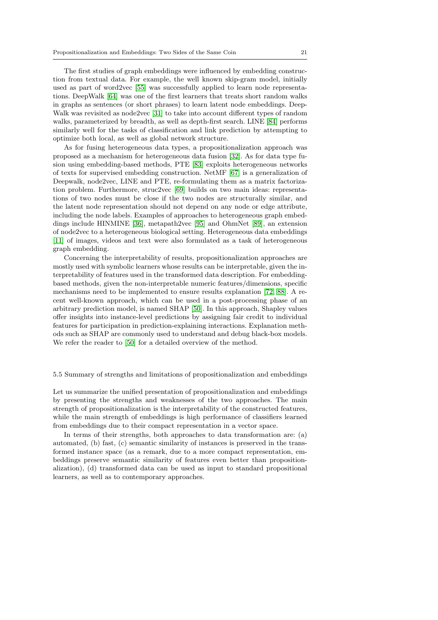The first studies of graph embeddings were influenced by embedding construction from textual data. For example, the well known skip-gram model, initially used as part of word2vec [\[55\]](#page-38-1) was successfully applied to learn node representations. DeepWalk [\[64\]](#page-38-10) was one of the first learners that treats short random walks in graphs as sentences (or short phrases) to learn latent node embeddings. Deep-Walk was revisited as node2vec [\[31\]](#page-36-15) to take into account different types of random walks, parameterized by breadth, as well as depth-first search. LINE [\[84\]](#page-40-10) performs similarly well for the tasks of classification and link prediction by attempting to optimize both local, as well as global network structure.

As for fusing heterogeneous data types, a propositionalization approach was proposed as a mechanism for heterogeneous data fusion [\[32\]](#page-36-16). As for data type fusion using embedding-based methods, PTE [\[83\]](#page-39-10) exploits heterogeneous networks of texts for supervised embedding construction. NetMF [\[67\]](#page-38-11) is a generalization of Deepwalk, node2vec, LINE and PTE, re-formulating them as a matrix factorization problem. Furthermore, struc2vec [\[69\]](#page-39-11) builds on two main ideas: representations of two nodes must be close if the two nodes are structurally similar, and the latent node representation should not depend on any node or edge attribute, including the node labels. Examples of approaches to heterogeneous graph embeddings include HINMINE [\[36\]](#page-36-6), metapath2vec [\[95\]](#page-40-3) and OhmNet [\[89\]](#page-40-4), an extension of node2vec to a heterogeneous biological setting. Heterogeneous data embeddings [\[11\]](#page-35-14) of images, videos and text were also formulated as a task of heterogeneous graph embedding.

Concerning the interpretability of results, propositionalization approaches are mostly used with symbolic learners whose results can be interpretable, given the interpretability of features used in the transformed data description. For embeddingbased methods, given the non-interpretable numeric features/dimensions, specific mechanisms need to be implemented to ensure results explanation [\[72,](#page-39-12) [88\]](#page-40-11). A recent well-known approach, which can be used in a post-processing phase of an arbitrary prediction model, is named SHAP [\[50\]](#page-37-14). In this approach, Shapley values offer insights into instance-level predictions by assigning fair credit to individual features for participation in prediction-explaining interactions. Explanation methods such as SHAP are commonly used to understand and debug black-box models. We refer the reader to [\[50\]](#page-37-14) for a detailed overview of the method.

# <span id="page-20-0"></span>5.5 Summary of strengths and limitations of propositionalization and embeddings

Let us summarize the unified presentation of propositionalization and embeddings by presenting the strengths and weaknesses of the two approaches. The main strength of propositionalization is the interpretability of the constructed features, while the main strength of embeddings is high performance of classifiers learned from embeddings due to their compact representation in a vector space.

In terms of their strengths, both approaches to data transformation are: (a) automated, (b) fast, (c) semantic similarity of instances is preserved in the transformed instance space (as a remark, due to a more compact representation, embeddings preserve semantic similarity of features even better than propositionalization), (d) transformed data can be used as input to standard propositional learners, as well as to contemporary approaches.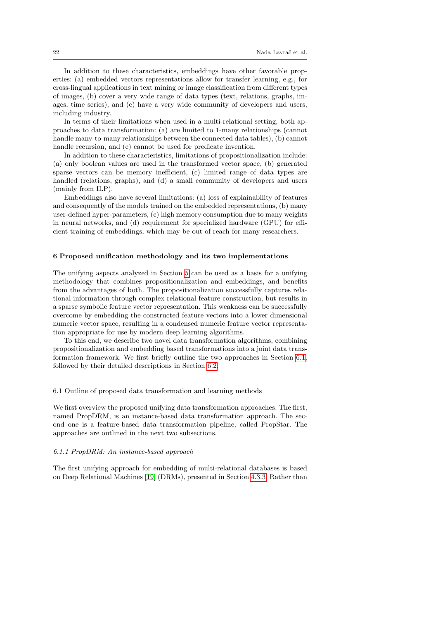In addition to these characteristics, embeddings have other favorable properties: (a) embedded vectors representations allow for transfer learning, e.g., for cross-lingual applications in text mining or image classification from different types of images, (b) cover a very wide range of data types (text, relations, graphs, images, time series), and (c) have a very wide community of developers and users, including industry.

In terms of their limitations when used in a multi-relational setting, both approaches to data transformation: (a) are limited to 1-many relationships (cannot handle many-to-many relationships between the connected data tables), (b) cannot handle recursion, and (c) cannot be used for predicate invention.

In addition to these characteristics, limitations of propositionalization include: (a) only boolean values are used in the transformed vector space, (b) generated sparse vectors can be memory inefficient, (c) limited range of data types are handled (relations, graphs), and (d) a small community of developers and users (mainly from ILP).

Embeddings also have several limitations: (a) loss of explainability of features and consequently of the models trained on the embedded representations, (b) many user-defined hyper-parameters, (c) high memory consumption due to many weights in neural networks, and (d) requirement for specialized hardware (GPU) for efficient training of embeddings, which may be out of reach for many researchers.

## <span id="page-21-0"></span>6 Proposed unification methodology and its two implementations

The unifying aspects analyzed in Section [5](#page-17-0) can be used as a basis for a unifying methodology that combines propositionalization and embeddings, and benefits from the advantages of both. The propositionalization successfully captures relational information through complex relational feature construction, but results in a sparse symbolic feature vector representation. This weakness can be successfully overcome by embedding the constructed feature vectors into a lower dimensional numeric vector space, resulting in a condensed numeric feature vector representation appropriate for use by modern deep learning algorithms.

To this end, we describe two novel data transformation algorithms, combining propositionalization and embedding based transformations into a joint data transformation framework. We first briefly outline the two approaches in Section [6.1,](#page-21-2) followed by their detailed descriptions in Section [6.2.](#page-24-1)

<span id="page-21-2"></span>6.1 Outline of proposed data transformation and learning methods

We first overview the proposed unifying data transformation approaches. The first, named PropDRM, is an instance-based data transformation approach. The second one is a feature-based data transformation pipeline, called PropStar. The approaches are outlined in the next two subsections.

### <span id="page-21-1"></span>6.1.1 PropDRM: An instance-based approach

The first unifying approach for embedding of multi-relational databases is based on Deep Relational Machines [\[19\]](#page-36-12) (DRMs), presented in Section [4.3.3.](#page-15-0) Rather than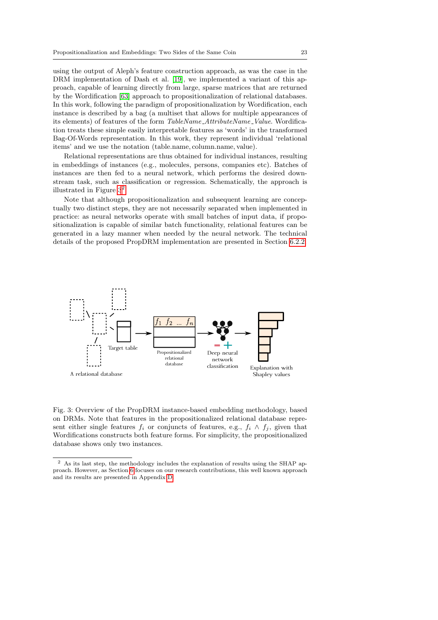using the output of Aleph's feature construction approach, as was the case in the DRM implementation of Dash et al. [\[19\]](#page-36-12), we implemented a variant of this approach, capable of learning directly from large, sparse matrices that are returned by the Wordification [\[63\]](#page-38-6) approach to propositionalization of relational databases. In this work, following the paradigm of propositionalization by Wordification, each instance is described by a bag (a multiset that allows for multiple appearances of its elements) of features of the form TableName\_AttributeName\_Value. Wordification treats these simple easily interpretable features as 'words' in the transformed Bag-Of-Words representation. In this work, they represent individual 'relational items' and we use the notation (table.name, column.name, value).

Relational representations are thus obtained for individual instances, resulting in embeddings of instances (e.g., molecules, persons, companies etc). Batches of instances are then fed to a neural network, which performs the desired downstream task, such as classification or regression. Schematically, the approach is illustrated in Figure  $3^2$  $3^2$ .

Note that although propositionalization and subsequent learning are conceptually two distinct steps, they are not necessarily separated when implemented in practice: as neural networks operate with small batches of input data, if propositionalization is capable of similar batch functionality, relational features can be generated in a lazy manner when needed by the neural network. The technical details of the proposed PropDRM implementation are presented in Section [6.2.2.](#page-25-0)

<span id="page-22-0"></span>

Fig. 3: Overview of the PropDRM instance-based embedding methodology, based on DRMs. Note that features in the propositionalized relational database represent either single features  $f_i$  or conjuncts of features, e.g.,  $f_i \wedge f_j$ , given that Wordifications constructs both feature forms. For simplicity, the propositionalized database shows only two instances.

<span id="page-22-1"></span><sup>&</sup>lt;sup>2</sup> As its last step, the methodology includes the explanation of results using the SHAP approach. However, as Section [6](#page-21-0) focuses on our research contributions, this well known approach and its results are presented in Appendix [D.](#page-41-0)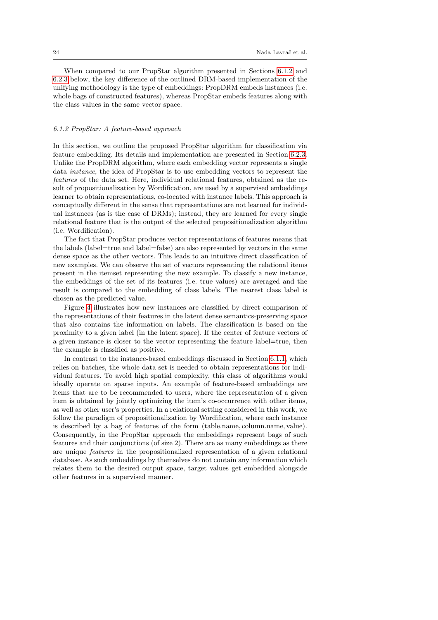When compared to our PropStar algorithm presented in Sections [6.1.2](#page-23-0) and [6.2.3](#page-26-0) below, the key difference of the outlined DRM-based implementation of the unifying methodology is the type of embeddings: PropDRM embeds instances (i.e. whole bags of constructed features), whereas PropStar embeds features along with the class values in the same vector space.

# <span id="page-23-0"></span>6.1.2 PropStar: A feature-based approach

In this section, we outline the proposed PropStar algorithm for classification via feature embedding. Its details and implementation are presented in Section [6.2.3.](#page-26-0) Unlike the PropDRM algorithm, where each embedding vector represents a single data instance, the idea of PropStar is to use embedding vectors to represent the features of the data set. Here, individual relational features, obtained as the result of propositionalization by Wordification, are used by a supervised embeddings learner to obtain representations, co-located with instance labels. This approach is conceptually different in the sense that representations are not learned for individual instances (as is the case of DRMs); instead, they are learned for every single relational feature that is the output of the selected propositionalization algorithm (i.e. Wordification).

The fact that PropStar produces vector representations of features means that the labels (label=true and label=false) are also represented by vectors in the same dense space as the other vectors. This leads to an intuitive direct classification of new examples. We can observe the set of vectors representing the relational items present in the itemset representing the new example. To classify a new instance, the embeddings of the set of its features (i.e. true values) are averaged and the result is compared to the embedding of class labels. The nearest class label is chosen as the predicted value.

Figure [4](#page-24-2) illustrates how new instances are classified by direct comparison of the representations of their features in the latent dense semantics-preserving space that also contains the information on labels. The classification is based on the proximity to a given label (in the latent space). If the center of feature vectors of a given instance is closer to the vector representing the feature label=true, then the example is classified as positive.

In contrast to the instance-based embeddings discussed in Section [6.1.1,](#page-21-1) which relies on batches, the whole data set is needed to obtain representations for individual features. To avoid high spatial complexity, this class of algorithms would ideally operate on sparse inputs. An example of feature-based embeddings are items that are to be recommended to users, where the representation of a given item is obtained by jointly optimizing the item's co-occurrence with other items, as well as other user's properties. In a relational setting considered in this work, we follow the paradigm of propositionalization by Wordification, where each instance is described by a bag of features of the form (table.name, column.name, value). Consequently, in the PropStar approach the embeddings represent bags of such features and their conjunctions (of size 2). There are as many embeddings as there are unique features in the propositionalized representation of a given relational database. As such embeddings by themselves do not contain any information which relates them to the desired output space, target values get embedded alongside other features in a supervised manner.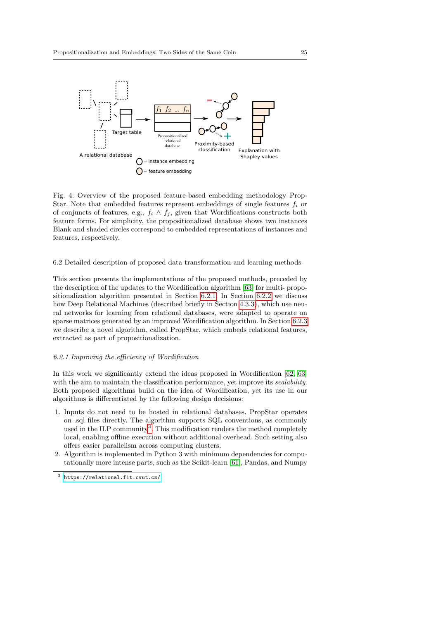<span id="page-24-2"></span>

Fig. 4: Overview of the proposed feature-based embedding methodology Prop-Star. Note that embedded features represent embeddings of single features  $f_i$  or of conjuncts of features, e.g.,  $f_i \wedge f_j$ , given that Wordifications constructs both feature forms. For simplicity, the propositionalized database shows two instances Blank and shaded circles correspond to embedded representations of instances and features, respectively.

# <span id="page-24-1"></span>6.2 Detailed description of proposed data transformation and learning methods

This section presents the implementations of the proposed methods, preceded by the description of the updates to the Wordification algorithm [\[63\]](#page-38-6) for multi- propositionalization algorithm presented in Section [6.2.1.](#page-24-0) In Section [6.2.2](#page-25-0) we discuss how Deep Relational Machines (described briefly in Section [4.3.3\)](#page-15-0), which use neural networks for learning from relational databases, were adapted to operate on sparse matrices generated by an improved Wordification algorithm. In Section [6.2.3](#page-26-0) we describe a novel algorithm, called PropStar, which embeds relational features, extracted as part of propositionalization.

# <span id="page-24-0"></span>6.2.1 Improving the efficiency of Wordification

In this work we significantly extend the ideas proposed in Wordification [\[62,](#page-38-5) [63\]](#page-38-6) with the aim to maintain the classification performance, yet improve its *scalability*. Both proposed algorithms build on the idea of Wordification, yet its use in our algorithms is differentiated by the following design decisions:

- 1. Inputs do not need to be hosted in relational databases. PropStar operates on .sql files directly. The algorithm supports SQL conventions, as commonly used in the ILP community<sup>[3](#page-24-3)</sup>. This modification renders the method completely local, enabling offline execution without additional overhead. Such setting also offers easier parallelism across computing clusters.
- 2. Algorithm is implemented in Python 3 with minimum dependencies for computationally more intense parts, such as the Scikit-learn [\[61\]](#page-38-12), Pandas, and Numpy

<span id="page-24-3"></span> $^3$ <https://relational.fit.cvut.cz/>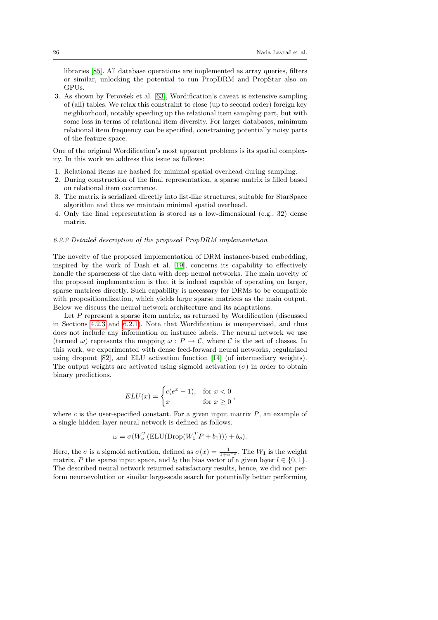libraries [\[85\]](#page-40-12). All database operations are implemented as array queries, filters or similar, unlocking the potential to run PropDRM and PropStar also on GPUs.

3. As shown by Perovšek et al. [\[63\]](#page-38-6), Wordification's caveat is extensive sampling of (all) tables. We relax this constraint to close (up to second order) foreign key neighborhood, notably speeding up the relational item sampling part, but with some loss in terms of relational item diversity. For larger databases, minimum relational item frequency can be specified, constraining potentially noisy parts of the feature space.

One of the original Wordification's most apparent problems is its spatial complexity. In this work we address this issue as follows:

- 1. Relational items are hashed for minimal spatial overhead during sampling.
- 2. During construction of the final representation, a sparse matrix is filled based on relational item occurrence.
- 3. The matrix is serialized directly into list-like structures, suitable for StarSpace algorithm and thus we maintain minimal spatial overhead.
- 4. Only the final representation is stored as a low-dimensional (e.g., 32) dense matrix.

### <span id="page-25-0"></span>6.2.2 Detailed description of the proposed PropDRM implementation

The novelty of the proposed implementation of DRM instance-based embedding, inspired by the work of Dash et al. [\[19\]](#page-36-12), concerns its capability to effectively handle the sparseness of the data with deep neural networks. The main novelty of the proposed implementation is that it is indeed capable of operating on larger, sparse matrices directly. Such capability is necessary for DRMs to be compatible with propositionalization, which yields large sparse matrices as the main output. Below we discuss the neural network architecture and its adaptations.

Let P represent a sparse item matrix, as returned by Wordification (discussed in Sections [4.2.3](#page-10-0) and [6.2.1\)](#page-24-0). Note that Wordification is unsupervised, and thus does not include any information on instance labels. The neural network we use (termed  $\omega$ ) represents the mapping  $\omega : P \to C$ , where C is the set of classes. In this work, we experimented with dense feed-forward neural networks, regularized using dropout [\[82\]](#page-39-13), and ELU activation function [\[14\]](#page-35-15) (of intermediary weights). The output weights are activated using sigmoid activation  $(\sigma)$  in order to obtain binary predictions.

$$
ELU(x) = \begin{cases} c(e^x - 1), & \text{for } x < 0\\ x & \text{for } x \ge 0 \end{cases}
$$

where  $c$  is the user-specified constant. For a given input matrix  $P$ , an example of a single hidden-layer neural network is defined as follows.

$$
\omega = \sigma(W_o^T(\text{ELU}(\text{Drop}(W_1^TP + b_1))) + b_o).
$$

Here, the  $\sigma$  is a sigmoid activation, defined as  $\sigma(x) = \frac{1}{1+e^{-x}}$ . The  $W_1$  is the weight matrix, P the sparse input space, and  $b_l$  the bias vector of a given layer  $l \in \{0, 1\}$ . The described neural network returned satisfactory results, hence, we did not perform neuroevolution or similar large-scale search for potentially better performing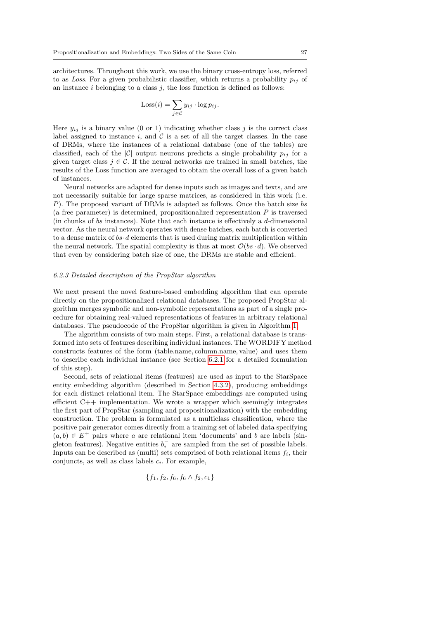architectures. Throughout this work, we use the binary cross-entropy loss, referred to as Loss. For a given probabilistic classifier, which returns a probability  $p_{ij}$  of an instance  $i$  belonging to a class  $j$ , the loss function is defined as follows:

$$
Loss(i) = \sum_{j \in C} y_{ij} \cdot \log p_{ij}.
$$

Here  $y_{ij}$  is a binary value (0 or 1) indicating whether class j is the correct class label assigned to instance i, and  $\mathcal C$  is a set of all the target classes. In the case of DRMs, where the instances of a relational database (one of the tables) are classified, each of the |C| output neurons predicts a single probability  $p_{ij}$  for a given target class  $j \in \mathcal{C}$ . If the neural networks are trained in small batches, the results of the Loss function are averaged to obtain the overall loss of a given batch of instances.

Neural networks are adapted for dense inputs such as images and texts, and are not necessarily suitable for large sparse matrices, as considered in this work (i.e. P). The proposed variant of DRMs is adapted as follows. Once the batch size bs (a free parameter) is determined, propositionalized representation  $P$  is traversed (in chunks of bs instances). Note that each instance is effectively a d-dimensional vector. As the neural network operates with dense batches, each batch is converted to a dense matrix of  $bs \cdot d$  elements that is used during matrix multiplication within the neural network. The spatial complexity is thus at most  $\mathcal{O}(bs \cdot d)$ . We observed that even by considering batch size of one, the DRMs are stable and efficient.

# <span id="page-26-0"></span>6.2.3 Detailed description of the PropStar algorithm

We next present the novel feature-based embedding algorithm that can operate directly on the propositionalized relational databases. The proposed PropStar algorithm merges symbolic and non-symbolic representations as part of a single procedure for obtaining real-valued representations of features in arbitrary relational databases. The pseudocode of the PropStar algorithm is given in Algorithm [1.](#page-27-0)

The algorithm consists of two main steps. First, a relational database is transformed into sets of features describing individual instances. The WORDIFY method constructs features of the form (table.name, column.name, value) and uses them to describe each individual instance (see Section [6.2.1](#page-24-0) for a detailed formulation of this step).

Second, sets of relational items (features) are used as input to the StarSpace entity embedding algorithm (described in Section [4.3.2\)](#page-14-0), producing embeddings for each distinct relational item. The StarSpace embeddings are computed using efficient C++ implementation. We wrote a wrapper which seemingly integrates the first part of PropStar (sampling and propositionalization) with the embedding construction. The problem is formulated as a multiclass classification, where the positive pair generator comes directly from a training set of labeled data specifying  $(a, b) \in E^+$  pairs where a are relational item 'documents' and b are labels (singleton features). Negative entities  $b_i^-$  are sampled from the set of possible labels. Inputs can be described as (multi) sets comprised of both relational items  $f_i$ , their conjuncts, as well as class labels  $c_i$ . For example,

$$
\{f_1, f_2, f_6, f_6 \wedge f_2, c_1\}
$$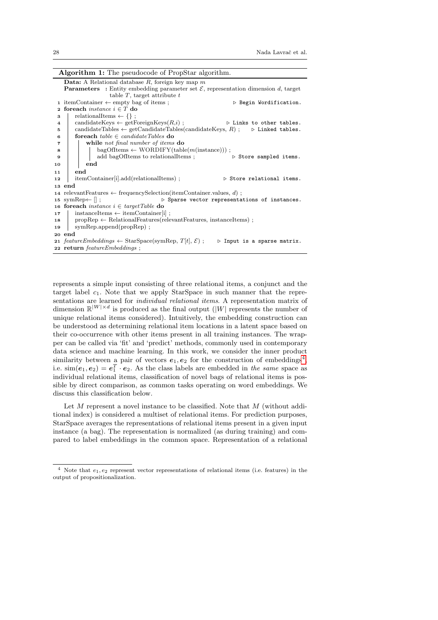| <b>Algorithm 1:</b> The pseudocode of PropStar algorithm.                                                                |  |  |  |  |  |  |  |
|--------------------------------------------------------------------------------------------------------------------------|--|--|--|--|--|--|--|
| <b>Data:</b> A Relational database R, foreign key map $m$                                                                |  |  |  |  |  |  |  |
| <b>Parameters</b> : Entity embedding parameter set $\mathcal{E}$ , representation dimension d, target                    |  |  |  |  |  |  |  |
| table $T$ , target attribute $t$                                                                                         |  |  |  |  |  |  |  |
| 1 itemContainer $\leftarrow$ empty bag of items;<br>$\triangleright$ Begin Wordification.                                |  |  |  |  |  |  |  |
| foreach <i>instance</i> $i \in T$ do<br>$\mathbf{2}$                                                                     |  |  |  |  |  |  |  |
| relationalItems $\leftarrow \{\}$ ;<br>3                                                                                 |  |  |  |  |  |  |  |
| $candidateKeys \leftarrow getForeignKeys(R,i);$<br>$\triangleright$ Links to other tables.<br>4                          |  |  |  |  |  |  |  |
| candidateTables $\leftarrow$ getCandidateTables(candidateKeys, R); $\triangleright$ Linked tables.<br>5                  |  |  |  |  |  |  |  |
| foreach table $\in$ candidate Tables do<br>6                                                                             |  |  |  |  |  |  |  |
| while not final number of items do<br>$\overline{7}$                                                                     |  |  |  |  |  |  |  |
| $bagOfItems \leftarrow WORDIFY(table(m(instance)))$ ;<br>8                                                               |  |  |  |  |  |  |  |
| add bagOfItems to relationalItems;<br>$\triangleright$ Store sampled items.<br>9                                         |  |  |  |  |  |  |  |
| end<br>10                                                                                                                |  |  |  |  |  |  |  |
| end<br>11                                                                                                                |  |  |  |  |  |  |  |
| itemContainer[i].add(relationalItems);<br>$\triangleright$ Store relational items.<br>12                                 |  |  |  |  |  |  |  |
| 13 end                                                                                                                   |  |  |  |  |  |  |  |
| 14 relevant Features $\leftarrow$ frequency Selection (item Container values, d);                                        |  |  |  |  |  |  |  |
| 15 symRep $\leftarrow$ $\parallel$ ;<br>$\triangleright$ Sparse vector representations of instances.                     |  |  |  |  |  |  |  |
| 16 foreach <i>instance</i> $i \in targetTable$ do                                                                        |  |  |  |  |  |  |  |
| $instantceItems \leftarrow itemContainer[i]$ ;<br>17                                                                     |  |  |  |  |  |  |  |
| $propRep \leftarrow RelationalFeatures(relevantFeatures, instanceItems)$ ;<br>18                                         |  |  |  |  |  |  |  |
| $symRep.append(propRep)$ ;<br>19                                                                                         |  |  |  |  |  |  |  |
| 20 end                                                                                                                   |  |  |  |  |  |  |  |
| 21 featureEmbeddings $\leftarrow$ StarSpace(symRep, T[t], $\mathcal{E}$ );<br>$\triangleright$ Input is a sparse matrix. |  |  |  |  |  |  |  |
| 22 return featureEmbeddings;                                                                                             |  |  |  |  |  |  |  |

<span id="page-27-0"></span>represents a simple input consisting of three relational items, a conjunct and the target label  $c_1$ . Note that we apply StarSpace in such manner that the representations are learned for individual relational items. A representation matrix of dimension  $\mathbb{R}^{|W| \times d}$  is produced as the final output (|W| represents the number of unique relational items considered). Intuitively, the embedding construction can be understood as determining relational item locations in a latent space based on their co-occurrence with other items present in all training instances. The wrapper can be called via 'fit' and 'predict' methods, commonly used in contemporary data science and machine learning. In this work, we consider the inner product similarity between a pair of vectors  $e_1, e_2$  for the construction of embeddings<sup>[4](#page-27-1)</sup>, i.e.  $\text{sim}(e_1, e_2) = e_1^T \cdot e_2$ . As the class labels are embedded in the same space as individual relational items, classification of novel bags of relational items is possible by direct comparison, as common tasks operating on word embeddings. We discuss this classification below.

Let  $M$  represent a novel instance to be classified. Note that  $M$  (without additional index) is considered a multiset of relational items. For prediction purposes, StarSpace averages the representations of relational items present in a given input instance (a bag). The representation is normalized (as during training) and compared to label embeddings in the common space. Representation of a relational

<span id="page-27-1"></span> $4$  Note that  $e_1, e_2$  represent vector representations of relational items (i.e. features) in the output of propositionalization.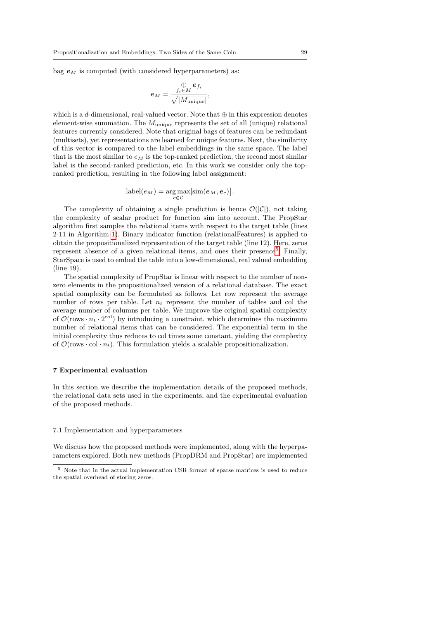bag  $e_M$  is computed (with considered hyperparameters) as:

$$
\bm{e}_M=\frac{f_i{\mathop{\in}\limits_{i\in M}}\bm{e}_{f_i}}{\sqrt{|M_{\text{unique}}|}},
$$

which is a d-dimensional, real-valued vector. Note that  $\oplus$  in this expression denotes element-wise summation. The  $M_{\text{unique}}$  represents the set of all (unique) relational features currently considered. Note that original bags of features can be redundant (multisets), yet representations are learned for unique features. Next, the similarity of this vector is compared to the label embeddings in the same space. The label that is the most similar to  $e_M$  is the top-ranked prediction, the second most similar label is the second-ranked prediction, etc. In this work we consider only the topranked prediction, resulting in the following label assignment:

$$
label(e_M) = \underset{c \in \mathcal{C}}{\arg \max}[\text{sim}(e_M, e_c)].
$$

The complexity of obtaining a single prediction is hence  $\mathcal{O}(|\mathcal{C}|)$ , not taking the complexity of scalar product for function sim into account. The PropStar algorithm first samples the relational items with respect to the target table (lines 2-11 in Algorithm [1\)](#page-27-0). Binary indicator function (relationalFeatures) is applied to obtain the propositionalized representation of the target table (line 12). Here, zeros represent absence of a given relational items, and ones their presence<sup>[5](#page-28-1)</sup>. Finally, StarSpace is used to embed the table into a low-dimensional, real valued embedding (line 19).

The spatial complexity of PropStar is linear with respect to the number of nonzero elements in the propositionalized version of a relational database. The exact spatial complexity can be formulated as follows. Let row represent the average number of rows per table. Let  $n_t$  represent the number of tables and col the average number of columns per table. We improve the original spatial complexity of  $\mathcal{O}(\text{rows} \cdot n_t \cdot 2^{\text{col}})$  by introducing a constraint, which determines the maximum number of relational items that can be considered. The exponential term in the initial complexity thus reduces to col times some constant, yielding the complexity of  $\mathcal{O}(\text{rows} \cdot \text{col} \cdot n_t)$ . This formulation yields a scalable propositionalization.

# <span id="page-28-0"></span>7 Experimental evaluation

In this section we describe the implementation details of the proposed methods, the relational data sets used in the experiments, and the experimental evaluation of the proposed methods.

### 7.1 Implementation and hyperparameters

We discuss how the proposed methods were implemented, along with the hyperparameters explored. Both new methods (PropDRM and PropStar) are implemented

<span id="page-28-1"></span><sup>5</sup> Note that in the actual implementation CSR format of sparse matrices is used to reduce the spatial overhead of storing zeros.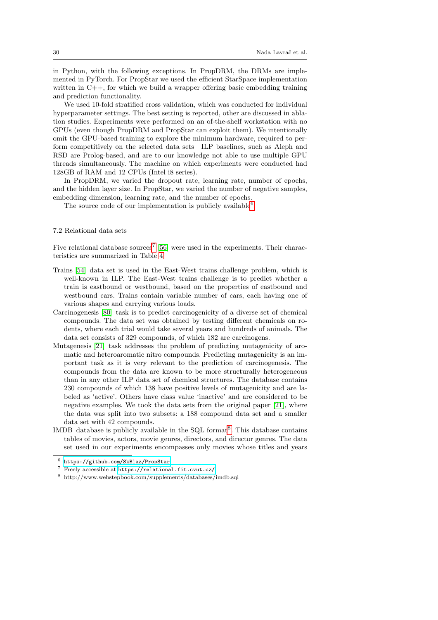in Python, with the following exceptions. In PropDRM, the DRMs are implemented in PyTorch. For PropStar we used the efficient StarSpace implementation written in C++, for which we build a wrapper offering basic embedding training and prediction functionality.

We used 10-fold stratified cross validation, which was conducted for individual hyperparameter settings. The best setting is reported, other are discussed in ablation studies. Experiments were performed on an of-the-shelf workstation with no GPUs (even though PropDRM and PropStar can exploit them). We intentionally omit the GPU-based training to explore the minimum hardware, required to perform competitively on the selected data sets—ILP baselines, such as Aleph and RSD are Prolog-based, and are to our knowledge not able to use multiple GPU threads simultaneously. The machine on which experiments were conducted had 128GB of RAM and 12 CPUs (Intel i8 series).

In PropDRM, we varied the dropout rate, learning rate, number of epochs, and the hidden layer size. In PropStar, we varied the number of negative samples, embedding dimension, learning rate, and the number of epochs.

The source code of our implementation is publicly available<sup>[6](#page-29-0)</sup>.

# 7.2 Relational data sets

Five relational database sources<sup>[7](#page-29-1)</sup> [\[56\]](#page-38-13) were used in the experiments. Their characteristics are summarized in Table [4.](#page-30-0)

- Trains [\[54\]](#page-38-14) data set is used in the East-West trains challenge problem, which is well-known in ILP. The East-West trains challenge is to predict whether a train is eastbound or westbound, based on the properties of eastbound and westbound cars. Trains contain variable number of cars, each having one of various shapes and carrying various loads.
- Carcinogenesis [\[80\]](#page-39-14) task is to predict carcinogenicity of a diverse set of chemical compounds. The data set was obtained by testing different chemicals on rodents, where each trial would take several years and hundreds of animals. The data set consists of 329 compounds, of which 182 are carcinogens.
- Mutagenesis [\[21\]](#page-36-17) task addresses the problem of predicting mutagenicity of aromatic and heteroaromatic nitro compounds. Predicting mutagenicity is an important task as it is very relevant to the prediction of carcinogenesis. The compounds from the data are known to be more structurally heterogeneous than in any other ILP data set of chemical structures. The database contains 230 compounds of which 138 have positive levels of mutagenicity and are labeled as 'active'. Others have class value 'inactive' and are considered to be negative examples. We took the data sets from the original paper [\[21\]](#page-36-17), where the data was split into two subsets: a 188 compound data set and a smaller data set with 42 compounds.
- IMDB database is publicly available in the SQL format<sup>[8](#page-29-2)</sup>. This database contains tables of movies, actors, movie genres, directors, and director genres. The data set used in our experiments encompasses only movies whose titles and years

<span id="page-29-0"></span><sup>6</sup> <https://github.com/SkBlaz/PropStar>

<span id="page-29-1"></span><sup>7</sup> Freely accessible at <https://relational.fit.cvut.cz/>

<span id="page-29-2"></span> $^8$ http://www.webstepbook.com/supplements/databases/imdb.sql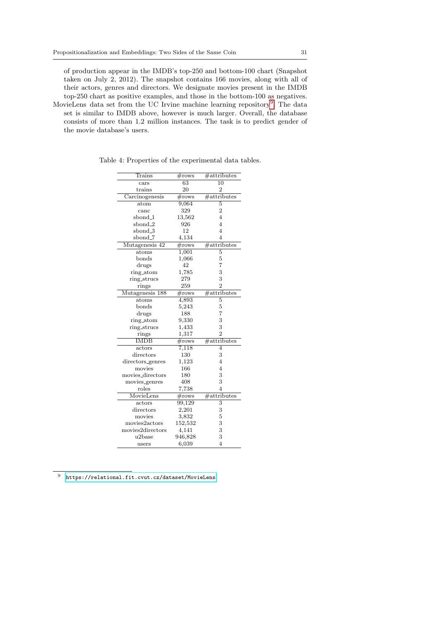of production appear in the IMDB's top-250 and bottom-100 chart (Snapshot taken on July 2, 2012). The snapshot contains 166 movies, along with all of their actors, genres and directors. We designate movies present in the IMDB top-250 chart as positive examples, and those in the bottom-100 as negatives.

MovieLens data set from the UC Irvine machine learning repository<sup>[9](#page-30-1)</sup>. The data set is similar to IMDB above, however is much larger. Overall, the database consists of more than 1.2 million instances. The task is to predict gender of the movie database's users.

| Trains              | $\#\text{rows}$    | $\#$ attributes           |
|---------------------|--------------------|---------------------------|
| cars                | $\overline{63}$    | $\overline{10}$           |
| trains              | 20                 | $\overline{2}$            |
| Carcinogenesis      | #rows              | $#$ attributes            |
| atom                | 9,064              | 5                         |
| canc                | 329                | $\overline{2}$            |
| sbond <sub>-1</sub> | 13,562             | $\overline{4}$            |
| sbond_2             | 926                | $\overline{4}$            |
| sbond <sub>-3</sub> | 12                 | $\overline{4}$            |
| sbond_7             | 4,134              | $\overline{4}$            |
| Mutagenesis 42      | $\#\text{rows}$    | $#$ attributes            |
| atoms               | 1,001              | $\overline{5}$            |
| bonds               | 1,066              | $\overline{5}$            |
| drugs               | 42                 | 7                         |
| ring_atom           | 1,785              | 3                         |
| ring_strucs         | 279                | 3                         |
| rings               | 259                | $\overline{2}$            |
| Mutagenesis 188     | $\#\text{rows}$    | #attributes               |
| atoms               | $\overline{4,893}$ | 5                         |
| bonds               | 5,243              | 5                         |
| drugs               | 188                | 7                         |
| ring_atom           | 9,330              | 3                         |
| ring_strucs         | 1,433              | 3                         |
| rings               | 1,317              | $\overline{2}$            |
| <b>IMDB</b>         | #rows              | $#$ attributes            |
| actors              | 7,118              | $\overline{4}$            |
| directors           | 130                | 3                         |
| directors_genres    | 1,123              | $\overline{4}$            |
| movies              | 166                | $\overline{4}$            |
| movies_directors    | 180                | 3                         |
| movies_genres       | 408                | 3                         |
| roles               | 7,738              | $\overline{4}$            |
| MovieLens           | $\#\text{rows}$    | #attributes               |
| actors              | 99,129             | $\overline{\overline{3}}$ |
| $\rm{directory}$    | 2,201              | 3                         |
| movies              | 3,832              | 5                         |
| movies2actors       | 152,532            | 3                         |
| movies2directors    | 4,141              | 3                         |
| u <sub>2</sub> base | 946,828            | 3                         |
| users               | 6,039              | $\overline{4}$            |

<span id="page-30-0"></span>Table 4: Properties of the experimental data tables.

<span id="page-30-1"></span><sup>9</sup> <https://relational.fit.cvut.cz/dataset/MovieLens>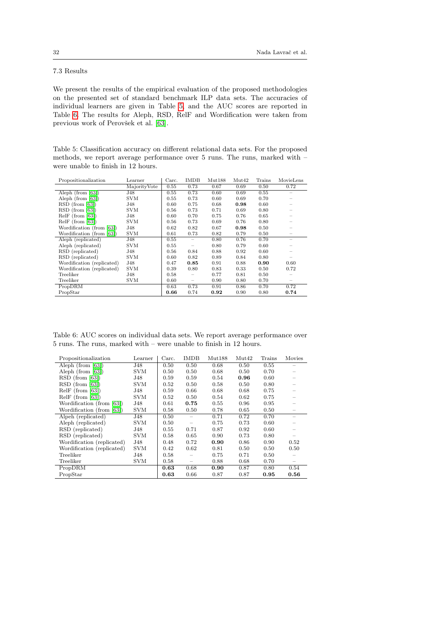# 7.3 Results

We present the results of the empirical evaluation of the proposed methodologies on the presented set of standard benchmark ILP data sets. The accuracies of individual learners are given in Table [5,](#page-31-0) and the AUC scores are reported in Table [6.](#page-31-1) The results for Aleph, RSD, RelF and Wordification were taken from previous work of Perovšek et al. [\[63\]](#page-38-6).

<span id="page-31-0"></span>Table 5: Classification accuracy on different relational data sets. For the proposed methods, we report average performance over 5 runs. The runs, marked with – were unable to finish in 12 hours.

| Propositionalization       | Learner      | Carc. | <b>IMDB</b>              | Mut188 | Mut42 | Trains | MovieLens                |
|----------------------------|--------------|-------|--------------------------|--------|-------|--------|--------------------------|
|                            | MajorityVote | 0.55  | 0.73                     | 0.67   | 0.69  | 0.50   | 0.72                     |
| Aleph (from $[63]$ )       | J48          | 0.55  | 0.73                     | 0.60   | 0.69  | 0.55   |                          |
| Aleph (from $[63]$ )       | <b>SVM</b>   | 0.55  | 0.73                     | 0.60   | 0.69  | 0.70   |                          |
| $RSD$ (from [63])          | J48          | 0.60  | 0.75                     | 0.68   | 0.98  | 0.60   |                          |
| $RSD$ (from [63])          | <b>SVM</b>   | 0.56  | 0.73                     | 0.71   | 0.69  | 0.80   |                          |
| $ReIF$ (from [63])         | J48          | 0.60  | 0.70                     | 0.75   | 0.76  | 0.65   |                          |
| $ReIF$ (from [63])         | <b>SVM</b>   | 0.56  | 0.73                     | 0.69   | 0.76  | 0.80   |                          |
| Wordification (from [63])  | J48          | 0.62  | 0.82                     | 0.67   | 0.98  | 0.50   |                          |
| Wordification (from [63])  | <b>SVM</b>   | 0.61  | 0.73                     | 0.82   | 0.79  | 0.50   |                          |
| Aleph (replicated)         | J48          | 0.55  |                          | 0.80   | 0.76  | 0.70   | $\overline{\phantom{0}}$ |
| Aleph (replicated)         | <b>SVM</b>   | 0.55  | $\overline{\phantom{0}}$ | 0.80   | 0.79  | 0.60   |                          |
| RSD (replicated)           | J48          | 0.56  | 0.84                     | 0.88   | 0.92  | 0.60   |                          |
| RSD (replicated)           | <b>SVM</b>   | 0.60  | 0.82                     | 0.89   | 0.84  | 0.80   |                          |
| Wordification (replicated) | J48          | 0.47  | 0.85                     | 0.91   | 0.88  | 0.90   | 0.60                     |
| Wordification (replicated) | <b>SVM</b>   | 0.39  | 0.80                     | 0.83   | 0.33  | 0.50   | 0.72                     |
| Treeliker                  | J48          | 0.58  |                          | 0.77   | 0.81  | 0.50   |                          |
| Treeliker                  | <b>SVM</b>   | 0.60  | $\overline{\phantom{0}}$ | 0.90   | 0.80  | 0.70   |                          |
| PropDRM                    |              | 0.63  | 0.73                     | 0.91   | 0.86  | 0.70   | 0.72                     |
| PropStar                   |              | 0.66  | 0.74                     | 0.92   | 0.90  | 0.80   | 0.74                     |

<span id="page-31-1"></span>Table 6: AUC scores on individual data sets. We report average performance over 5 runs. The runs, marked with – were unable to finish in 12 hours.

| Propositionalization       | Learner    | Carc. | <b>IMDB</b> | Mut188 | Mut42 | Trains | Movies |
|----------------------------|------------|-------|-------------|--------|-------|--------|--------|
| Aleph (from $[63]$ )       | J48        | 0.50  | 0.50        | 0.68   | 0.50  | 0.55   |        |
| Aleph (from $[63]$ )       | SVM        | 0.50  | 0.50        | 0.68   | 0.50  | 0.70   |        |
| $RSD$ (from [63])          | J48        | 0.59  | 0.59        | 0.54   | 0.96  | 0.60   |        |
| $RSD$ (from [63])          | SVM        | 0.52  | 0.50        | 0.58   | 0.50  | 0.80   |        |
| $RelF$ (from [63])         | J48        | 0.59  | 0.66        | 0.68   | 0.68  | 0.75   |        |
| $RelF$ (from [63])         | SVM        | 0.52  | 0.50        | 0.54   | 0.62  | 0.75   |        |
| Wordification (from [63])  | J48        | 0.61  | 0.75        | 0.55   | 0.96  | 0.95   |        |
| Wordification (from [63])  | <b>SVM</b> | 0.58  | 0.50        | 0.78   | 0.65  | 0.50   |        |
| Alpeh (replicated)         | J48        | 0.50  |             | 0.71   | 0.72  | 0.70   |        |
| Aleph (replicated)         | <b>SVM</b> | 0.50  |             | 0.75   | 0.73  | 0.60   |        |
| RSD (replicated)           | J48        | 0.55  | 0.71        | 0.87   | 0.92  | 0.60   |        |
| RSD (replicated)           | SVM        | 0.58  | 0.65        | 0.90   | 0.73  | 0.80   |        |
| Wordification (replicated) | J48        | 0.48  | 0.72        | 0.90   | 0.86  | 0.90   | 0.52   |
| Wordification (replicated) | <b>SVM</b> | 0.42  | 0.62        | 0.81   | 0.50  | 0.50   | 0.50   |
| Treeliker                  | J48        | 0.58  |             | 0.75   | 0.71  | 0.50   |        |
| Treeliker                  | SVM        | 0.58  | -           | 0.88   | 0.68  | 0.70   |        |
| PropDRM                    |            | 0.63  | 0.68        | 0.90   | 0.87  | 0.80   | 0.54   |
| PropStar                   |            | 0.63  | 0.66        | 0.87   | 0.87  | 0.95   | 0.56   |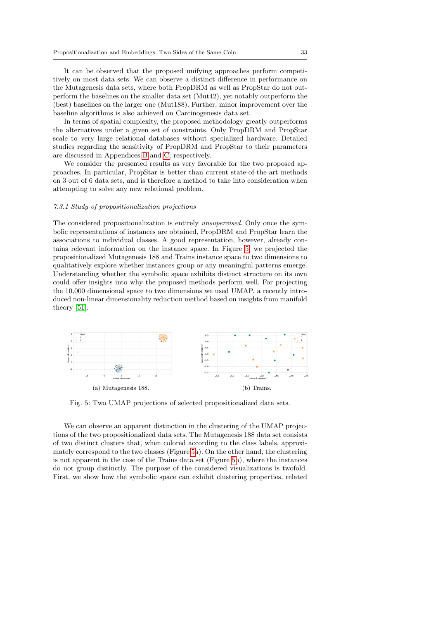It can be observed that the proposed unifying approaches perform competitively on most data sets. We can observe a distinct difference in performance on the Mutagenesis data sets, where both PropDRM as well as PropStar do not outperform the baselines on the smaller data set (Mut42), yet notably outperform the (best) baselines on the larger one (Mut188). Further, minor improvement over the baseline algorithms is also achieved on Carcinogenesis data set.

In terms of spatial complexity, the proposed methodology greatly outperforms the alternatives under a given set of constraints. Only PropDRM and PropStar scale to very large relational databases without specialized hardware. Detailed studies regarding the sensitivity of PropDRM and PropStar to their parameters are discussed in Appendices [B](#page-40-13) and [C,](#page-41-1) respectively.

We consider the presented results as very favorable for the two proposed approaches. In particular, PropStar is better than current state-of-the-art methods on 3 out of 6 data sets, and is therefore a method to take into consideration when attempting to solve any new relational problem.

# 7.3.1 Study of propositionalization projections

The considered propositionalization is entirely unsupervised. Only once the symbolic representations of instances are obtained, PropDRM and PropStar learn the associations to individual classes. A good representation, however, already contains relevant information on the instance space. In Figure [5,](#page-32-0) we projected the propositionalized Mutagenesis 188 and Trains instance space to two dimensions to qualitatively explore whether instances group or any meaningful patterns emerge. Understanding whether the symbolic space exhibits distinct structure on its own could offer insights into why the proposed methods perform well. For projecting the 10,000 dimensional space to two dimensions we used UMAP, a recently introduced non-linear dimensionality reduction method based on insights from manifold theory [\[51\]](#page-37-15).

<span id="page-32-0"></span>

Fig. 5: Two UMAP projections of selected propositionalized data sets.

We can observe an apparent distinction in the clustering of the UMAP projections of the two propositionalized data sets. The Mutagenesis 188 data set consists of two distinct clusters that, when colored according to the class labels, approximately correspond to the two classes (Figure [5a](#page-32-0)). On the other hand, the clustering is not apparent in the case of the Trains data set (Figure [5b](#page-32-0)), where the instances do not group distinctly. The purpose of the considered visualizations is twofold. First, we show how the symbolic space can exhibit clustering properties, related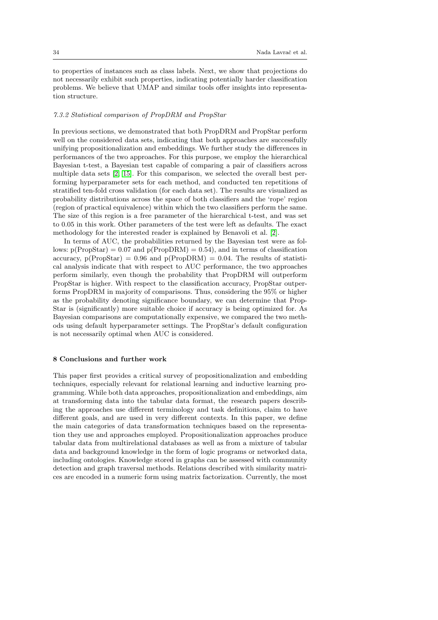to properties of instances such as class labels. Next, we show that projections do not necessarily exhibit such properties, indicating potentially harder classification problems. We believe that UMAP and similar tools offer insights into representation structure.

### 7.3.2 Statistical comparison of PropDRM and PropStar

In previous sections, we demonstrated that both PropDRM and PropStar perform well on the considered data sets, indicating that both approaches are successfully unifying propositionalization and embeddings. We further study the differences in performances of the two approaches. For this purpose, we employ the hierarchical Bayesian t-test, a Bayesian test capable of comparing a pair of classifiers across multiple data sets [\[2,](#page-35-16) [15\]](#page-35-17). For this comparison, we selected the overall best performing hyperparameter sets for each method, and conducted ten repetitions of stratified ten-fold cross validation (for each data set). The results are visualized as probability distributions across the space of both classifiers and the 'rope' region (region of practical equivalence) within which the two classifiers perform the same. The size of this region is a free parameter of the hierarchical t-test, and was set to 0.05 in this work. Other parameters of the test were left as defaults. The exact methodology for the interested reader is explained by Benavoli et al. [\[2\]](#page-35-16).

In terms of AUC, the probabilities returned by the Bayesian test were as follows:  $p(PropStar) = 0.07$  and  $p(PropDRM) = 0.54$ , and in terms of classification accuracy,  $p(PropStar) = 0.96$  and  $p(PropORM) = 0.04$ . The results of statistical analysis indicate that with respect to AUC performance, the two approaches perform similarly, even though the probability that PropDRM will outperform PropStar is higher. With respect to the classification accuracy, PropStar outperforms PropDRM in majority of comparisons. Thus, considering the 95% or higher as the probability denoting significance boundary, we can determine that Prop-Star is (significantly) more suitable choice if accuracy is being optimized for. As Bayesian comparisons are computationally expensive, we compared the two methods using default hyperparameter settings. The PropStar's default configuration is not necessarily optimal when AUC is considered.

# <span id="page-33-0"></span>8 Conclusions and further work

This paper first provides a critical survey of propositionalization and embedding techniques, especially relevant for relational learning and inductive learning programming. While both data approaches, propositionalization and embeddings, aim at transforming data into the tabular data format, the research papers describing the approaches use different terminology and task definitions, claim to have different goals, and are used in very different contexts. In this paper, we define the main categories of data transformation techniques based on the representation they use and approaches employed. Propositionalization approaches produce tabular data from multirelational databases as well as from a mixture of tabular data and background knowledge in the form of logic programs or networked data, including ontologies. Knowledge stored in graphs can be assessed with community detection and graph traversal methods. Relations described with similarity matrices are encoded in a numeric form using matrix factorization. Currently, the most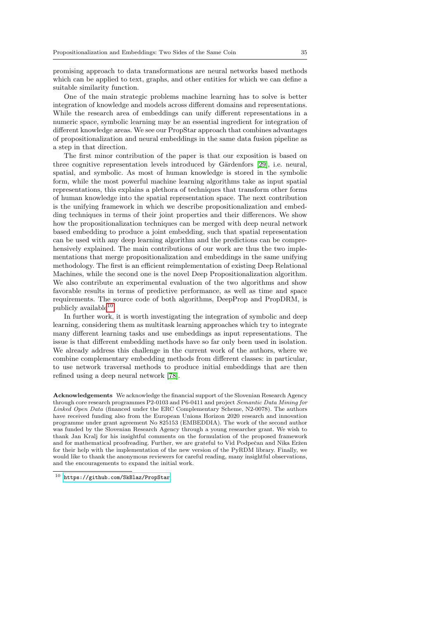promising approach to data transformations are neural networks based methods which can be applied to text, graphs, and other entities for which we can define a suitable similarity function.

One of the main strategic problems machine learning has to solve is better integration of knowledge and models across different domains and representations. While the research area of embeddings can unify different representations in a numeric space, symbolic learning may be an essential ingredient for integration of different knowledge areas. We see our PropStar approach that combines advantages of propositionalization and neural embeddings in the same data fusion pipeline as a step in that direction.

The first minor contribution of the paper is that our exposition is based on three cognitive representation levels introduced by Gärdenfors [\[29\]](#page-36-1), i.e. neural, spatial, and symbolic. As most of human knowledge is stored in the symbolic form, while the most powerful machine learning algorithms take as input spatial representations, this explains a plethora of techniques that transform other forms of human knowledge into the spatial representation space. The next contribution is the unifying framework in which we describe propositionalization and embedding techniques in terms of their joint properties and their differences. We show how the propositionalization techniques can be merged with deep neural network based embedding to produce a joint embedding, such that spatial representation can be used with any deep learning algorithm and the predictions can be comprehensively explained. The main contributions of our work are thus the two implementations that merge propositionalization and embeddings in the same unifying methodology. The first is an efficient reimplementation of existing Deep Relational Machines, while the second one is the novel Deep Propositionalization algorithm. We also contribute an experimental evaluation of the two algorithms and show favorable results in terms of predictive performance, as well as time and space requirements. The source code of both algorithms, DeepProp and PropDRM, is publicly available<sup>[10](#page-34-0)</sup>.

In further work, it is worth investigating the integration of symbolic and deep learning, considering them as multitask learning approaches which try to integrate many different learning tasks and use embeddings as input representations. The issue is that different embedding methods have so far only been used in isolation. We already address this challenge in the current work of the authors, where we combine complementary embedding methods from different classes: in particular, to use network traversal methods to produce initial embeddings that are then refined using a deep neural network [\[78\]](#page-39-15).

Acknowledgements We acknowledge the financial support of the Slovenian Research Agency through core research programmes P2-0103 and P6-0411 and project Semantic Data Mining for Linked Open Data (financed under the ERC Complementary Scheme, N2-0078). The authors have received funding also from the European Unions Horizon 2020 research and innovation programme under grant agreement No 825153 (EMBEDDIA). The work of the second author was funded by the Slovenian Research Agency through a young researcher grant. We wish to thank Jan Kralj for his insightful comments on the formulation of the proposed framework and for mathematical proofreading. Further, we are grateful to Vid Podpečan and Nika Eržen for their help with the implementation of the new version of the PyRDM library. Finally, we would like to thank the anonymous reviewers for careful reading, many insightful observations, and the encouragements to expand the initial work.

<span id="page-34-0"></span><sup>10</sup> <https://github.com/SkBlaz/PropStar>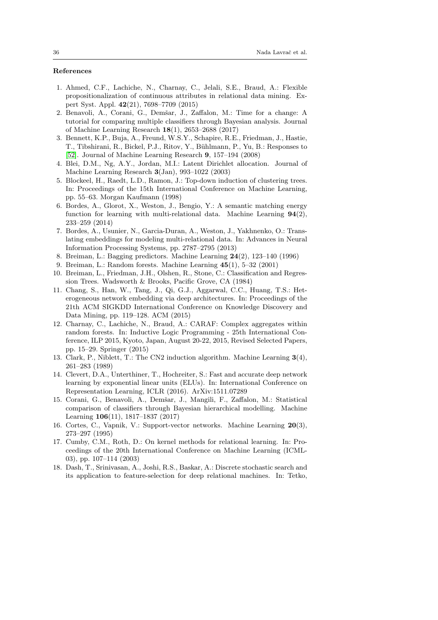# References

- <span id="page-35-9"></span>1. Ahmed, C.F., Lachiche, N., Charnay, C., Jelali, S.E., Braud, A.: Flexible propositionalization of continuous attributes in relational data mining. Expert Syst. Appl. 42(21), 7698–7709 (2015)
- <span id="page-35-16"></span>2. Benavoli, A., Corani, G., Demšar, J., Zaffalon, M.: Time for a change: A tutorial for comparing multiple classifiers through Bayesian analysis. Journal of Machine Learning Research 18(1), 2653–2688 (2017)
- <span id="page-35-6"></span>3. Bennett, K.P., Buja, A., Freund, W.S.Y., Schapire, R.E., Friedman, J., Hastie, T., Tibshirani, R., Bickel, P.J., Ritov, Y., Bühlmann, P., Yu, B.: Responses to [\[52\]](#page-37-3). Journal of Machine Learning Research 9, 157–194 (2008)
- <span id="page-35-7"></span>4. Blei, D.M., Ng, A.Y., Jordan, M.I.: Latent Dirichlet allocation. Journal of Machine Learning Research 3(Jan), 993–1022 (2003)
- <span id="page-35-1"></span>5. Blockeel, H., Raedt, L.D., Ramon, J.: Top-down induction of clustering trees. In: Proceedings of the 15th International Conference on Machine Learning, pp. 55–63. Morgan Kaufmann (1998)
- <span id="page-35-12"></span>6. Bordes, A., Glorot, X., Weston, J., Bengio, Y.: A semantic matching energy function for learning with multi-relational data. Machine Learning  $94(2)$ , 233–259 (2014)
- <span id="page-35-11"></span>7. Bordes, A., Usunier, N., Garcia-Duran, A., Weston, J., Yakhnenko, O.: Translating embeddings for modeling multi-relational data. In: Advances in Neural Information Processing Systems, pp. 2787–2795 (2013)
- <span id="page-35-5"></span>8. Breiman, L.: Bagging predictors. Machine Learning 24(2), 123–140 (1996)
- <span id="page-35-3"></span>9. Breiman, L.: Random forests. Machine Learning 45(1), 5–32 (2001)
- <span id="page-35-4"></span>10. Breiman, L., Friedman, J.H., Olshen, R., Stone, C.: Classification and Regression Trees. Wadsworth & Brooks, Pacific Grove, CA (1984)
- <span id="page-35-14"></span>11. Chang, S., Han, W., Tang, J., Qi, G.J., Aggarwal, C.C., Huang, T.S.: Heterogeneous network embedding via deep architectures. In: Proceedings of the 21th ACM SIGKDD International Conference on Knowledge Discovery and Data Mining, pp. 119–128. ACM (2015)
- <span id="page-35-10"></span>12. Charnay, C., Lachiche, N., Braud, A.: CARAF: Complex aggregates within random forests. In: Inductive Logic Programming - 25th International Conference, ILP 2015, Kyoto, Japan, August 20-22, 2015, Revised Selected Papers, pp. 15–29. Springer (2015)
- <span id="page-35-2"></span>13. Clark, P., Niblett, T.: The CN2 induction algorithm. Machine Learning 3(4), 261–283 (1989)
- <span id="page-35-15"></span>14. Clevert, D.A., Unterthiner, T., Hochreiter, S.: Fast and accurate deep network learning by exponential linear units (ELUs). In: International Conference on Representation Learning, ICLR (2016). ArXiv:1511.07289
- <span id="page-35-17"></span>15. Corani, G., Benavoli, A., Demšar, J., Mangili, F., Zaffalon, M.: Statistical comparison of classifiers through Bayesian hierarchical modelling. Machine Learning 106(11), 1817–1837 (2017)
- <span id="page-35-0"></span>16. Cortes, C., Vapnik, V.: Support-vector networks. Machine Learning 20(3), 273–297 (1995)
- <span id="page-35-8"></span>17. Cumby, C.M., Roth, D.: On kernel methods for relational learning. In: Proceedings of the 20th International Conference on Machine Learning (ICML-03), pp. 107–114 (2003)
- <span id="page-35-13"></span>18. Dash, T., Srinivasan, A., Joshi, R.S., Baskar, A.: Discrete stochastic search and its application to feature-selection for deep relational machines. In: Tetko,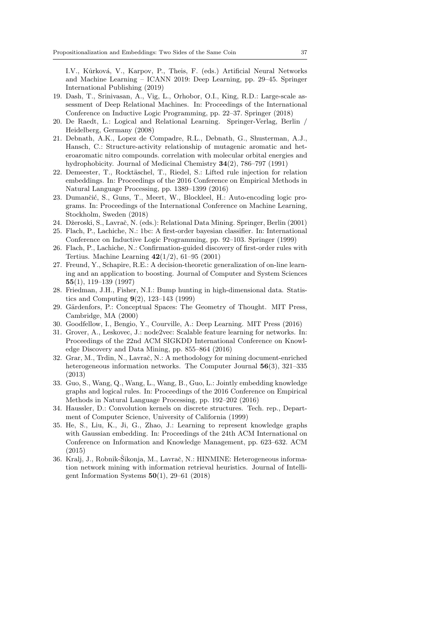I.V., Kůrková, V., Karpov, P., Theis, F. (eds.) Artificial Neural Networks and Machine Learning – ICANN 2019: Deep Learning, pp. 29–45. Springer International Publishing (2019)

- <span id="page-36-12"></span>19. Dash, T., Srinivasan, A., Vig, L., Orhobor, O.I., King, R.D.: Large-scale assessment of Deep Relational Machines. In: Proceedings of the International Conference on Inductive Logic Programming, pp. 22–37. Springer (2018)
- <span id="page-36-0"></span>20. De Raedt, L.: Logical and Relational Learning. Springer-Verlag, Berlin / Heidelberg, Germany (2008)
- <span id="page-36-17"></span>21. Debnath, A.K., Lopez de Compadre, R.L., Debnath, G., Shusterman, A.J., Hansch, C.: Structure-activity relationship of mutagenic aromatic and heteroaromatic nitro compounds. correlation with molecular orbital energies and hydrophobicity. Journal of Medicinal Chemistry 34(2), 786–797 (1991)
- <span id="page-36-11"></span>22. Demeester, T., Rocktäschel, T., Riedel, S.: Lifted rule injection for relation embeddings. In: Proceedings of the 2016 Conference on Empirical Methods in Natural Language Processing, pp. 1389–1399 (2016)
- <span id="page-36-13"></span>23. Dumančić, S., Guns, T., Meert, W., Blockleel, H.: Auto-encoding logic programs. In: Proceedings of the International Conference on Machine Learning, Stockholm, Sweden (2018)
- <span id="page-36-14"></span>24. Džeroski, S., Lavrač, N. (eds.): Relational Data Mining. Springer, Berlin (2001)
- <span id="page-36-7"></span>25. Flach, P., Lachiche, N.: 1bc: A first-order bayesian classifier. In: International Conference on Inductive Logic Programming, pp. 92–103. Springer (1999)
- <span id="page-36-8"></span>26. Flach, P., Lachiche, N.: Confirmation-guided discovery of first-order rules with Tertius. Machine Learning 42(1/2), 61–95 (2001)
- <span id="page-36-3"></span>27. Freund, Y., Schapire, R.E.: A decision-theoretic generalization of on-line learning and an application to boosting. Journal of Computer and System Sciences 55(1), 119–139 (1997)
- <span id="page-36-4"></span>28. Friedman, J.H., Fisher, N.I.: Bump hunting in high-dimensional data. Statistics and Computing  $9(2)$ , 123–143 (1999)
- <span id="page-36-1"></span>29. Gärdenfors, P.: Conceptual Spaces: The Geometry of Thought. MIT Press, Cambridge, MA (2000)
- <span id="page-36-2"></span>30. Goodfellow, I., Bengio, Y., Courville, A.: Deep Learning. MIT Press (2016)
- <span id="page-36-15"></span>31. Grover, A., Leskovec, J.: node2vec: Scalable feature learning for networks. In: Proceedings of the 22nd ACM SIGKDD International Conference on Knowledge Discovery and Data Mining, pp. 855–864 (2016)
- <span id="page-36-16"></span>32. Grar, M., Trdin, N., Lavrač, N.: A methodology for mining document-enriched heterogeneous information networks. The Computer Journal 56(3), 321–335 (2013)
- <span id="page-36-10"></span>33. Guo, S., Wang, Q., Wang, L., Wang, B., Guo, L.: Jointly embedding knowledge graphs and logical rules. In: Proceedings of the 2016 Conference on Empirical Methods in Natural Language Processing, pp. 192–202 (2016)
- <span id="page-36-5"></span>34. Haussler, D.: Convolution kernels on discrete structures. Tech. rep., Department of Computer Science, University of California (1999)
- <span id="page-36-9"></span>35. He, S., Liu, K., Ji, G., Zhao, J.: Learning to represent knowledge graphs with Gaussian embedding. In: Proceedings of the 24th ACM International on Conference on Information and Knowledge Management, pp. 623–632. ACM (2015)
- <span id="page-36-6"></span>36. Kralj, J., Robnik-Šikonja, M., Lavrač, N.: HINMINE: Heterogeneous information network mining with information retrieval heuristics. Journal of Intelligent Information Systems  $50(1)$ , 29–61 (2018)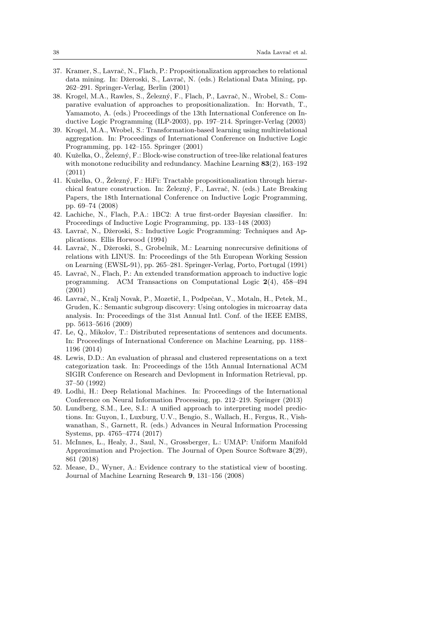- <span id="page-37-0"></span>37. Kramer, S., Lavraˇc, N., Flach, P.: Propositionalization approaches to relational data mining. In: Džeroski, S., Lavrač, N. (eds.) Relational Data Mining, pp. 262–291. Springer-Verlag, Berlin (2001)
- <span id="page-37-7"></span>38. Krogel, M.A., Rawles, S., Železný, F., Flach, P., Lavrač, N., Wrobel, S.: Comparative evaluation of approaches to propositionalization. In: Horvath, T., Yamamoto, A. (eds.) Proceedings of the 13th International Conference on Inductive Logic Programming (ILP-2003), pp. 197–214. Springer-Verlag (2003)
- <span id="page-37-8"></span>39. Krogel, M.A., Wrobel, S.: Transformation-based learning using multirelational aggregation. In: Proceedings of International Conference on Inductive Logic Programming, pp. 142–155. Springer (2001)
- <span id="page-37-11"></span>40. Kuželka, O., Železný, F.: Block-wise construction of tree-like relational features with monotone reducibility and redundancy. Machine Learning 83(2), 163-192 (2011)
- <span id="page-37-10"></span>41. Kuželka, O., Železný, F.: HiFi: Tractable propositionalization through hierarchical feature construction. In: Železný, F., Lavrač, N. (eds.) Late Breaking Papers, the 18th International Conference on Inductive Logic Programming, pp. 69–74 (2008)
- <span id="page-37-9"></span>42. Lachiche, N., Flach, P.A.: 1BC2: A true first-order Bayesian classifier. In: Proceedings of Inductive Logic Programming, pp. 133–148 (2003)
- <span id="page-37-1"></span>43. Lavraˇc, N., Dˇzeroski, S.: Inductive Logic Programming: Techniques and Applications. Ellis Horwood (1994)
- <span id="page-37-5"></span>44. Lavraˇc, N., Dˇzeroski, S., Grobelnik, M.: Learning nonrecursive definitions of relations with LINUS. In: Proceedings of the 5th European Working Session on Learning (EWSL-91), pp. 265–281. Springer-Verlag, Porto, Portugal (1991)
- <span id="page-37-6"></span>45. Lavrač, N., Flach, P.: An extended transformation approach to inductive logic programming. ACM Transactions on Computational Logic 2(4), 458–494 (2001)
- <span id="page-37-13"></span>46. Lavraˇc, N., Kralj Novak, P., Mozetiˇc, I., Podpeˇcan, V., Motaln, H., Petek, M., Gruden, K.: Semantic subgroup discovery: Using ontologies in microarray data analysis. In: Proceedings of the 31st Annual Intl. Conf. of the IEEE EMBS, pp. 5613–5616 (2009)
- <span id="page-37-12"></span>47. Le, Q., Mikolov, T.: Distributed representations of sentences and documents. In: Proceedings of International Conference on Machine Learning, pp. 1188– 1196 (2014)
- <span id="page-37-4"></span>48. Lewis, D.D.: An evaluation of phrasal and clustered representations on a text categorization task. In: Proceedings of the 15th Annual International ACM SIGIR Conference on Research and Devlopment in Information Retrieval, pp. 37–50 (1992)
- <span id="page-37-2"></span>49. Lodhi, H.: Deep Relational Machines. In: Proceedings of the International Conference on Neural Information Processing, pp. 212–219. Springer (2013)
- <span id="page-37-14"></span>50. Lundberg, S.M., Lee, S.I.: A unified approach to interpreting model predictions. In: Guyon, I., Luxburg, U.V., Bengio, S., Wallach, H., Fergus, R., Vishwanathan, S., Garnett, R. (eds.) Advances in Neural Information Processing Systems, pp. 4765–4774 (2017)
- <span id="page-37-15"></span>51. McInnes, L., Healy, J., Saul, N., Grossberger, L.: UMAP: Uniform Manifold Approximation and Projection. The Journal of Open Source Software 3(29), 861 (2018)
- <span id="page-37-3"></span>52. Mease, D., Wyner, A.: Evidence contrary to the statistical view of boosting. Journal of Machine Learning Research 9, 131–156 (2008)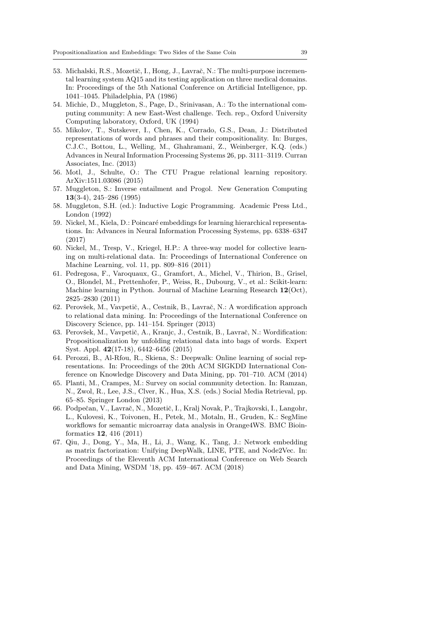- <span id="page-38-2"></span>53. Michalski, R.S., Mozetič, I., Hong, J., Lavrač, N.: The multi-purpose incremental learning system AQ15 and its testing application on three medical domains. In: Proceedings of the 5th National Conference on Artificial Intelligence, pp. 1041–1045. Philadelphia, PA (1986)
- <span id="page-38-14"></span>54. Michie, D., Muggleton, S., Page, D., Srinivasan, A.: To the international computing community: A new East-West challenge. Tech. rep., Oxford University Computing laboratory, Oxford, UK (1994)
- <span id="page-38-1"></span>55. Mikolov, T., Sutskever, I., Chen, K., Corrado, G.S., Dean, J.: Distributed representations of words and phrases and their compositionality. In: Burges, C.J.C., Bottou, L., Welling, M., Ghahramani, Z., Weinberger, K.Q. (eds.) Advances in Neural Information Processing Systems 26, pp. 3111–3119. Curran Associates, Inc. (2013)
- <span id="page-38-13"></span>56. Motl, J., Schulte, O.: The CTU Prague relational learning repository. ArXiv:1511.03086 (2015)
- <span id="page-38-4"></span>57. Muggleton, S.: Inverse entailment and Progol. New Generation Computing 13(3-4), 245–286 (1995)
- <span id="page-38-0"></span>58. Muggleton, S.H. (ed.): Inductive Logic Programming. Academic Press Ltd., London (1992)
- <span id="page-38-8"></span>59. Nickel, M., Kiela, D.: Poincaré embeddings for learning hierarchical representations. In: Advances in Neural Information Processing Systems, pp. 6338–6347 (2017)
- <span id="page-38-7"></span>60. Nickel, M., Tresp, V., Kriegel, H.P.: A three-way model for collective learning on multi-relational data. In: Proceedings of International Conference on Machine Learning, vol. 11, pp. 809–816 (2011)
- <span id="page-38-12"></span>61. Pedregosa, F., Varoquaux, G., Gramfort, A., Michel, V., Thirion, B., Grisel, O., Blondel, M., Prettenhofer, P., Weiss, R., Dubourg, V., et al.: Scikit-learn: Machine learning in Python. Journal of Machine Learning Research 12(Oct), 2825–2830 (2011)
- <span id="page-38-5"></span>62. Perovšek, M., Vavpetič, A., Cestnik, B., Lavrač, N.: A wordification approach to relational data mining. In: Proceedings of the International Conference on Discovery Science, pp. 141–154. Springer (2013)
- <span id="page-38-6"></span>63. Perovšek, M., Vavpetič, A., Kranjc, J., Cestnik, B., Lavrač, N.: Wordification: Propositionalization by unfolding relational data into bags of words. Expert Syst. Appl. 42(17-18), 6442–6456 (2015)
- <span id="page-38-10"></span>64. Perozzi, B., Al-Rfou, R., Skiena, S.: Deepwalk: Online learning of social representations. In: Proceedings of the 20th ACM SIGKDD International Conference on Knowledge Discovery and Data Mining, pp. 701–710. ACM (2014)
- <span id="page-38-3"></span>65. Planti, M., Crampes, M.: Survey on social community detection. In: Ramzan, N., Zwol, R., Lee, J.S., Clver, K., Hua, X.S. (eds.) Social Media Retrieval, pp. 65–85. Springer London (2013)
- <span id="page-38-9"></span>66. Podpečan, V., Lavrač, N., Mozetič, I., Kralj Novak, P., Trajkovski, I., Langohr, L., Kulovesi, K., Toivonen, H., Petek, M., Motaln, H., Gruden, K.: SegMine workflows for semantic microarray data analysis in Orange4WS. BMC Bioinformatics 12, 416 (2011)
- <span id="page-38-11"></span>67. Qiu, J., Dong, Y., Ma, H., Li, J., Wang, K., Tang, J.: Network embedding as matrix factorization: Unifying DeepWalk, LINE, PTE, and Node2Vec. In: Proceedings of the Eleventh ACM International Conference on Web Search and Data Mining, WSDM '18, pp. 459–467. ACM (2018)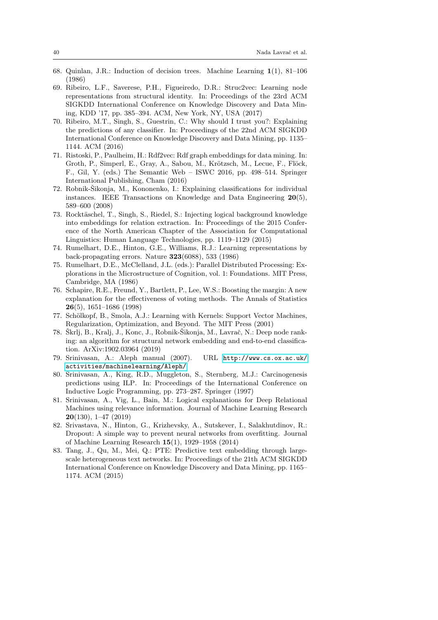- <span id="page-39-2"></span>68. Quinlan, J.R.: Induction of decision trees. Machine Learning 1(1), 81–106 (1986)
- <span id="page-39-11"></span>69. Ribeiro, L.F., Saverese, P.H., Figueiredo, D.R.: Struc2vec: Learning node representations from structural identity. In: Proceedings of the 23rd ACM SIGKDD International Conference on Knowledge Discovery and Data Mining, KDD '17, pp. 385–394. ACM, New York, NY, USA (2017)
- <span id="page-39-9"></span>70. Ribeiro, M.T., Singh, S., Guestrin, C.: Why should I trust you?: Explaining the predictions of any classifier. In: Proceedings of the 22nd ACM SIGKDD International Conference on Knowledge Discovery and Data Mining, pp. 1135– 1144. ACM (2016)
- <span id="page-39-7"></span>71. Ristoski, P., Paulheim, H.: Rdf2vec: Rdf graph embeddings for data mining. In: Groth, P., Simperl, E., Gray, A., Sabou, M., Krötzsch, M., Lecue, F., Flöck, F., Gil, Y. (eds.) The Semantic Web – ISWC 2016, pp. 498–514. Springer International Publishing, Cham (2016)
- <span id="page-39-12"></span>72. Robnik-Šikonja, M., Kononenko, I.: Explaining classifications for individual instances. IEEE Transactions on Knowledge and Data Engineering  $20(5)$ , 589–600 (2008)
- <span id="page-39-8"></span>73. Rocktäschel, T., Singh, S., Riedel, S.: Injecting logical background knowledge into embeddings for relation extraction. In: Proceedings of the 2015 Conference of the North American Chapter of the Association for Computational Linguistics: Human Language Technologies, pp. 1119–1129 (2015)
- <span id="page-39-1"></span>74. Rumelhart, D.E., Hinton, G.E., Williams, R.J.: Learning representations by back-propagating errors. Nature 323(6088), 533 (1986)
- <span id="page-39-3"></span>75. Rumelhart, D.E., McClelland, J.L. (eds.): Parallel Distributed Processing: Explorations in the Microstructure of Cognition, vol. 1: Foundations. MIT Press, Cambridge, MA (1986)
- <span id="page-39-5"></span>76. Schapire, R.E., Freund, Y., Bartlett, P., Lee, W.S.: Boosting the margin: A new explanation for the effectiveness of voting methods. The Annals of Statistics 26(5), 1651–1686 (1998)
- <span id="page-39-4"></span>77. Schölkopf, B., Smola, A.J.: Learning with Kernels: Support Vector Machines, Regularization, Optimization, and Beyond. The MIT Press (2001)
- <span id="page-39-15"></span>78. Škrlj, B., Kralj, J., Konc, J., Robnik-Šikonja, M., Lavrač, N.: Deep node ranking: an algorithm for structural network embedding and end-to-end classification. ArXiv:1902.03964 (2019)
- <span id="page-39-6"></span>79. Srinivasan, A.: Aleph manual (2007). URL [http://www.cs.ox.ac.uk/](http://www.cs.ox.ac.uk/activities/machinelearning/Aleph/) [activities/machinelearning/Aleph/](http://www.cs.ox.ac.uk/activities/machinelearning/Aleph/)
- <span id="page-39-14"></span>80. Srinivasan, A., King, R.D., Muggleton, S., Sternberg, M.J.: Carcinogenesis predictions using ILP. In: Proceedings of the International Conference on Inductive Logic Programming, pp. 273–287. Springer (1997)
- <span id="page-39-0"></span>81. Srinivasan, A., Vig, L., Bain, M.: Logical explanations for Deep Relational Machines using relevance information. Journal of Machine Learning Research 20(130), 1–47 (2019)
- <span id="page-39-13"></span>82. Srivastava, N., Hinton, G., Krizhevsky, A., Sutskever, I., Salakhutdinov, R.: Dropout: A simple way to prevent neural networks from overfitting. Journal of Machine Learning Research 15(1), 1929–1958 (2014)
- <span id="page-39-10"></span>83. Tang, J., Qu, M., Mei, Q.: PTE: Predictive text embedding through largescale heterogeneous text networks. In: Proceedings of the 21th ACM SIGKDD International Conference on Knowledge Discovery and Data Mining, pp. 1165– 1174. ACM (2015)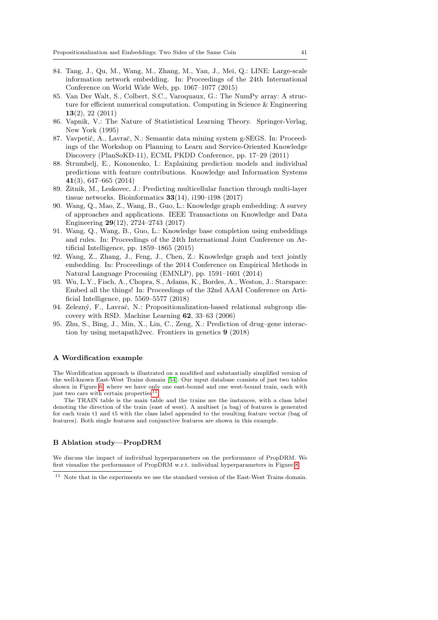- <span id="page-40-10"></span>84. Tang, J., Qu, M., Wang, M., Zhang, M., Yan, J., Mei, Q.: LINE: Large-scale information network embedding. In: Proceedings of the 24th International Conference on World Wide Web, pp. 1067–1077 (2015)
- <span id="page-40-12"></span>85. Van Der Walt, S., Colbert, S.C., Varoquaux, G.: The NumPy array: A structure for efficient numerical computation. Computing in Science & Engineering 13(2), 22 (2011)
- <span id="page-40-2"></span>86. Vapnik, V.: The Nature of Statististical Learning Theory. Springer-Verlag, New York (1995)
- <span id="page-40-9"></span>87. Vavpetič, A., Lavrač, N.: Semantic data mining system g-SEGS. In: Proceedings of the Workshop on Planning to Learn and Service-Oriented Knowledge Discovery (PlanSoKD-11), ECML PKDD Conference, pp. 17–29 (2011)
- <span id="page-40-11"></span>88. Štrumbelj, E., Kononenko, I.: Explaining prediction models and individual predictions with feature contributions. Knowledge and Information Systems 41(3), 647–665 (2014)
- <span id="page-40-4"></span>89. Žitnik, M., Leskovec, J.: Predicting multicellular function through multi-layer tissue networks. Bioinformatics  $33(14)$ , i190–i198 (2017)
- <span id="page-40-6"></span>90. Wang, Q., Mao, Z., Wang, B., Guo, L.: Knowledge graph embedding: A survey of approaches and applications. IEEE Transactions on Knowledge and Data Engineering 29(12), 2724–2743 (2017)
- <span id="page-40-8"></span>91. Wang, Q., Wang, B., Guo, L.: Knowledge base completion using embeddings and rules. In: Proceedings of the 24th International Joint Conference on Artificial Intelligence, pp. 1859–1865 (2015)
- <span id="page-40-7"></span>92. Wang, Z., Zhang, J., Feng, J., Chen, Z.: Knowledge graph and text jointly embedding. In: Proceedings of the 2014 Conference on Empirical Methods in Natural Language Processing (EMNLP), pp. 1591–1601 (2014)
- <span id="page-40-1"></span>93. Wu, L.Y., Fisch, A., Chopra, S., Adams, K., Bordes, A., Weston, J.: Starspace: Embed all the things! In: Proceedings of the 32nd AAAI Conference on Artificial Intelligence, pp. 5569–5577 (2018)
- <span id="page-40-0"></span>94. Zelezný, F., Lavrač, N.: Propositionalization-based relational subgroup discovery with RSD. Machine Learning 62, 33–63 (2006)
- <span id="page-40-3"></span>95. Zhu, S., Bing, J., Min, X., Lin, C., Zeng, X.: Prediction of drug–gene interaction by using metapath2vec. Frontiers in genetics 9 (2018)

# <span id="page-40-5"></span>A Wordification example

The Wordification approach is illustrated on a modified and substantially simplified version of the well-known East-West Trains domain [\[54\]](#page-38-14). Our input database consists of just two tables shown in Figure [6,](#page-41-2) where we have only one east-bound and one west-bound train, each with just two cars with certain properties<sup>[11](#page-40-14)</sup> .

The TRAIN table is the main table and the trains are the instances, with a class label denoting the direction of the train (east of west). A multiset (a bag) of features is generated for each train t1 and t5 with the class label appended to the resulting feature vector (bag of features). Both single features and conjunctive features are shown in this example.

# <span id="page-40-13"></span>B Ablation study—PropDRM

We discuss the impact of individual hyperparameters on the performance of PropDRM. We first visualize the performance of PropDRM w.r.t. individual hyperparameters in Figure [8.](#page-42-0)

<span id="page-40-14"></span><sup>&</sup>lt;sup>11</sup> Note that in the experiments we use the standard version of the East-West Trains domain.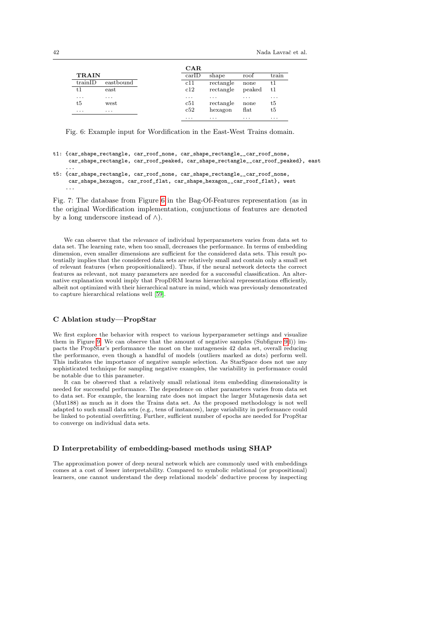<span id="page-41-2"></span>

|              |           | $\mathbf{CAR}$         |           |                       |       |
|--------------|-----------|------------------------|-----------|-----------------------|-------|
| <b>TRAIN</b> |           | $\operatorname{carID}$ | shape     | roof                  | train |
| trainID      | eastbound | c11                    | rectangle | none                  | t1    |
| t1           | east      | c12                    | rectangle | peaked                | t1    |
| $\cdots$     | .         | $\cdots$               | .         | .                     | .     |
| t5           | west      | c51                    | rectangle | none                  | t5    |
| .            | .         | c52                    | hexagon   | $\operatorname{flat}$ | t5    |
|              |           | $\cdots$               | .         | .                     | .     |

Fig. 6: Example input for Wordification in the East-West Trains domain.

- t1: {car\_shape\_rectangle, car\_roof\_none, car\_shape\_rectangle\_\_car\_roof\_none, car\_shape\_rectangle, car\_roof\_peaked, car\_shape\_rectangle\_\_car\_roof\_peaked}, east
- t5: {car\_shape\_rectangle, car\_roof\_none, car\_shape\_rectangle\_\_car\_roof\_none, car\_shape\_hexagon, car\_roof\_flat, car\_shape\_hexagon\_\_car\_roof\_flat}, west ...

Fig. 7: The database from Figure [6](#page-41-2) in the Bag-Of-Features representation (as in the original Wordification implementation, conjunctions of features are denoted by a long underscore instead of  $\wedge$ ).

We can observe that the relevance of individual hyperparameters varies from data set to data set. The learning rate, when too small, decreases the performance. In terms of embedding dimension, even smaller dimensions are sufficient for the considered data sets. This result potentially implies that the considered data sets are relatively small and contain only a small set of relevant features (when propositionalized). Thus, if the neural network detects the correct features as relevant, not many parameters are needed for a successful classification. An alternative explanation would imply that PropDRM learns hierarchical representations efficiently, albeit not optimized with their hierarchical nature in mind, which was previously demonstrated to capture hierarchical relations well [\[59\]](#page-38-8).

# <span id="page-41-1"></span>C Ablation study—PropStar

We first explore the behavior with respect to various hyperparameter settings and visualize them in Figure [9.](#page-43-0) We can observe that the amount of negative samples (Subfigure [9d](#page-43-0))) impacts the PropStar's performance the most on the mutagenesis 42 data set, overall reducing the performance, even though a handful of models (outliers marked as dots) perform well. This indicates the importance of negative sample selection. As StarSpace does not use any sophisticated technique for sampling negative examples, the variability in performance could be notable due to this parameter.

It can be observed that a relatively small relational item embedding dimensionality is needed for successful performance. The dependence on other parameters varies from data set to data set. For example, the learning rate does not impact the larger Mutagenesis data set (Mut188) as much as it does the Trains data set. As the proposed methodology is not well adapted to such small data sets (e.g., tens of instances), large variability in performance could be linked to potential overfitting. Further, sufficient number of epochs are needed for PropStar to converge on individual data sets.

### <span id="page-41-0"></span>D Interpretability of embedding-based methods using SHAP

The approximation power of deep neural network which are commonly used with embeddings comes at a cost of lesser interpretability. Compared to symbolic relational (or propositional) learners, one cannot understand the deep relational models' deductive process by inspecting

...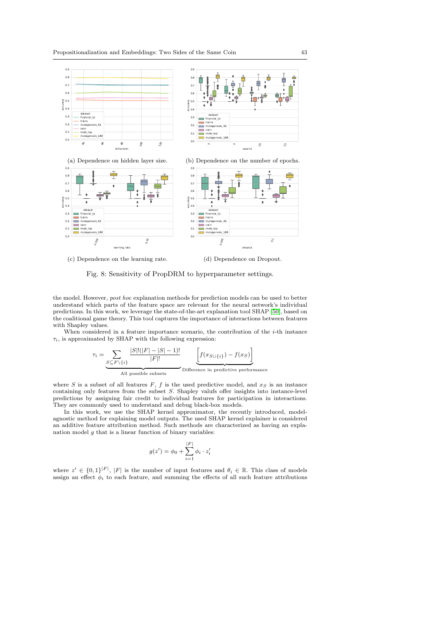<span id="page-42-0"></span>

(c) Dependence on the learning rate.

 $\tau$ 

(d) Dependence on Dropout.

Fig. 8: Sensitivity of PropDRM to hyperparameter settings.

the model. However, post hoc explanation methods for prediction models can be used to better understand which parts of the feature space are relevant for the neural network's individual predictions. In this work, we leverage the state-of-the-art explanation tool SHAP [\[50\]](#page-37-14), based on the coalitional game theory. This tool captures the importance of interactions between features with Shapley values.

When considered in a feature importance scenario, the contribution of the  $i$ -th instance  $\tau_i$ , is approximated by SHAP with the following expression:

$$
i = \underbrace{\sum_{S \subseteq F \setminus \{i\}} \frac{|S|!(|F|-|S|-1)!}{|F|!}}_{\text{All possible subsets}} \underbrace{\left[f(x_{S \cup \{i\}}) - f(x_S)\right]}_{\text{Difference in predictive performance}}
$$

where S is a subset of all features  $F, f$  is the used predictive model, and  $x_S$  is an instance containing only features from the subset S. Shapley valufs offer insights into instance-level predictions by assigning fair credit to individual features for participation in interactions. They are commonly used to understand and debug black-box models.

In this work, we use the SHAP kernel approximator, the recently introduced, modelagnostic method for explaining model outputs. The used SHAP kernel explainer is considered an additive feature attribution method. Such methods are characterized as having an explanation model  $q$  that is a linear function of binary variables:

$$
g(z') = \phi_0 + \sum_{i=1}^{|F|} \phi_i \cdot z'_i
$$

where  $z' \in \{0,1\}^{|F|}, |F|$  is the number of input features and  $\theta_i \in \mathbb{R}$ . This class of models assign an effect  $\phi_i$  to each feature, and summing the effects of all such feature attributions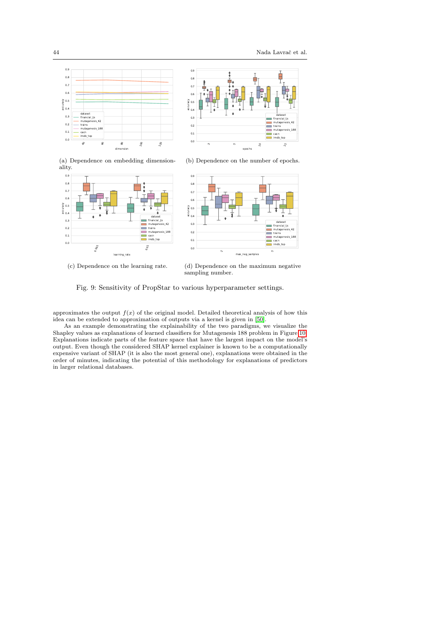<span id="page-43-0"></span>



(a) Dependence on embedding dimensionality.



(c) Dependence on the learning rate.

(b) Dependence on the number of epochs.



(d) Dependence on the maximum negative sampling number.

Fig. 9: Sensitivity of PropStar to various hyperparameter settings.

approximates the output  $f(x)$  of the original model. Detailed theoretical analysis of how this idea can be extended to approximation of outputs via a kernel is given in [\[50\]](#page-37-14).

As an example demonstrating the explainability of the two paradigms, we visualize the Shapley values as explanations of learned classifiers for Mutagenesis 188 problem in Figure [10.](#page-44-0) Explanations indicate parts of the feature space that have the largest impact on the model's output. Even though the considered SHAP kernel explainer is known to be a computationally expensive variant of SHAP (it is also the most general one), explanations were obtained in the order of minutes, indicating the potential of this methodology for explanations of predictors in larger relational databases.